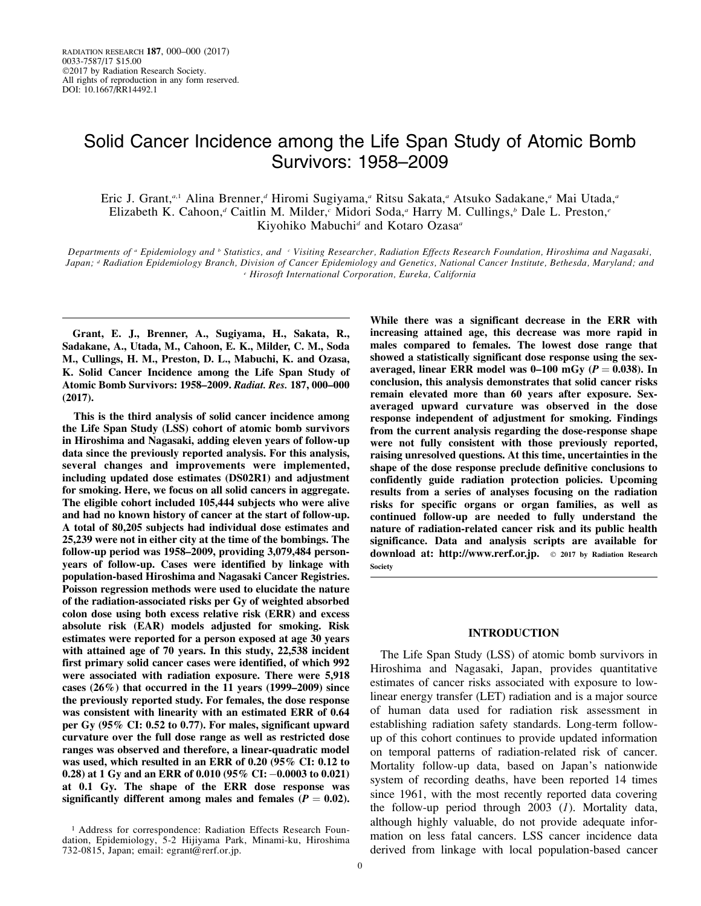# Solid Cancer Incidence among the Life Span Study of Atomic Bomb Survivors: 1958–2009

Eric J. Grant,<sup>a,1</sup> Alina Brenner,<sup>d</sup> Hiromi Sugiyama,<sup>d</sup> Ritsu Sakata,<sup>d</sup> Atsuko Sadakane,<sup>d</sup> Mai Utada,<sup>d</sup> Elizabeth K. Cahoon,<sup>d</sup> Caitlin M. Milder,<sup>c</sup> Midori Soda,<sup>d</sup> Harry M. Cullings,<sup>b</sup> Dale L. Preston,<sup>e</sup> Kiyohiko Mabuchi<sup>d</sup> and Kotaro Ozasa<sup>a</sup>

Departments of a Epidemiology and b Statistics, and c Visiting Researcher, Radiation Effects Research Foundation, Hiroshima and Nagasaki, Japan; <sup>d</sup> Radiation Epidemiology Branch, Division of Cancer Epidemiology and Genetics, National Cancer Institute, Bethesda, Maryland; and <sup>e</sup> Hirosoft International Corporation, Eureka, California

Grant, E. J., Brenner, A., Sugiyama, H., Sakata, R., Sadakane, A., Utada, M., Cahoon, E. K., Milder, C. M., Soda M., Cullings, H. M., Preston, D. L., Mabuchi, K. and Ozasa, K. Solid Cancer Incidence among the Life Span Study of Atomic Bomb Survivors: 1958–2009. Radiat. Res. 187, 000–000 (2017).

This is the third analysis of solid cancer incidence among the Life Span Study (LSS) cohort of atomic bomb survivors in Hiroshima and Nagasaki, adding eleven years of follow-up data since the previously reported analysis. For this analysis, several changes and improvements were implemented, including updated dose estimates (DS02R1) and adjustment for smoking. Here, we focus on all solid cancers in aggregate. The eligible cohort included 105,444 subjects who were alive and had no known history of cancer at the start of follow-up. A total of 80,205 subjects had individual dose estimates and 25,239 were not in either city at the time of the bombings. The follow-up period was 1958–2009, providing 3,079,484 personyears of follow-up. Cases were identified by linkage with population-based Hiroshima and Nagasaki Cancer Registries. Poisson regression methods were used to elucidate the nature of the radiation-associated risks per Gy of weighted absorbed colon dose using both excess relative risk (ERR) and excess absolute risk (EAR) models adjusted for smoking. Risk estimates were reported for a person exposed at age 30 years with attained age of 70 years. In this study, 22,538 incident first primary solid cancer cases were identified, of which 992 were associated with radiation exposure. There were 5,918 cases (26%) that occurred in the 11 years (1999–2009) since the previously reported study. For females, the dose response was consistent with linearity with an estimated ERR of 0.64 per Gy (95% CI: 0.52 to 0.77). For males, significant upward curvature over the full dose range as well as restricted dose ranges was observed and therefore, a linear-quadratic model was used, which resulted in an ERR of 0.20 (95% CI: 0.12 to 0.28) at 1 Gy and an ERR of 0.010 (95% CI:  $-0.0003$  to 0.021) at 0.1 Gy. The shape of the ERR dose response was significantly different among males and females ( $P = 0.02$ ). While there was a significant decrease in the ERR with increasing attained age, this decrease was more rapid in males compared to females. The lowest dose range that showed a statistically significant dose response using the sexaveraged, linear ERR model was  $0-100$  mGy ( $P = 0.038$ ). In conclusion, this analysis demonstrates that solid cancer risks remain elevated more than 60 years after exposure. Sexaveraged upward curvature was observed in the dose response independent of adjustment for smoking. Findings from the current analysis regarding the dose-response shape were not fully consistent with those previously reported, raising unresolved questions. At this time, uncertainties in the shape of the dose response preclude definitive conclusions to confidently guide radiation protection policies. Upcoming results from a series of analyses focusing on the radiation risks for specific organs or organ families, as well as continued follow-up are needed to fully understand the nature of radiation-related cancer risk and its public health significance. Data and analysis scripts are available for download at: http://www.rerf.or.jp. © 2017 by Radiation Research Society

# INTRODUCTION

The Life Span Study (LSS) of atomic bomb survivors in Hiroshima and Nagasaki, Japan, provides quantitative estimates of cancer risks associated with exposure to lowlinear energy transfer (LET) radiation and is a major source of human data used for radiation risk assessment in establishing radiation safety standards. Long-term followup of this cohort continues to provide updated information on temporal patterns of radiation-related risk of cancer. Mortality follow-up data, based on Japan's nationwide system of recording deaths, have been reported 14 times since 1961, with the most recently reported data covering the follow-up period through 2003 (1). Mortality data, although highly valuable, do not provide adequate information on less fatal cancers. LSS cancer incidence data derived from linkage with local population-based cancer

<sup>&</sup>lt;sup>1</sup> Address for correspondence: Radiation Effects Research Foundation, Epidemiology, 5-2 Hijiyama Park, Minami-ku, Hiroshima 732-0815, Japan; email: egrant@rerf.or.jp.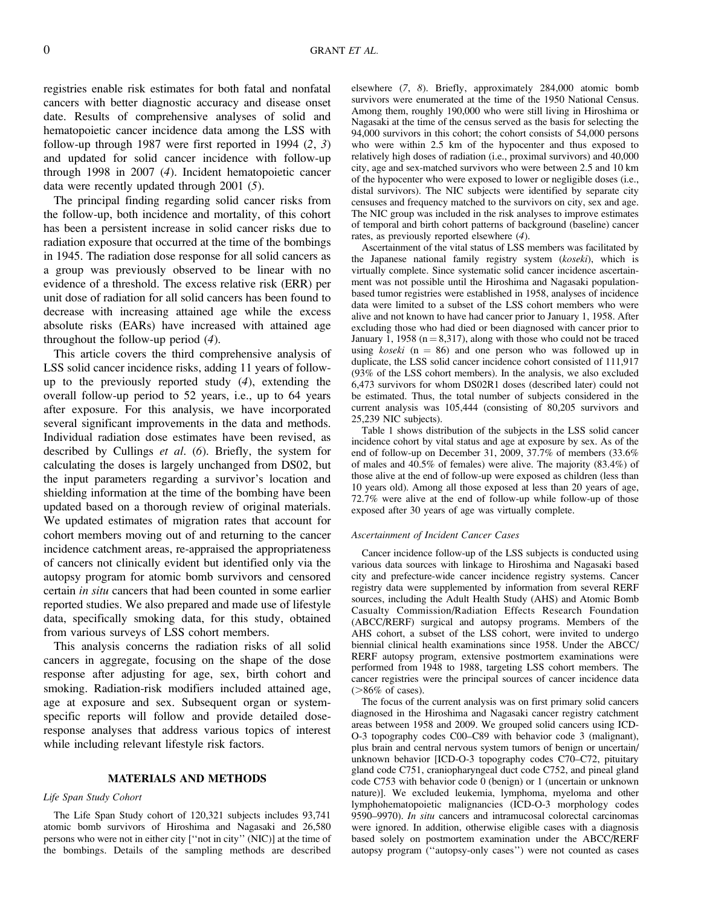registries enable risk estimates for both fatal and nonfatal cancers with better diagnostic accuracy and disease onset date. Results of comprehensive analyses of solid and hematopoietic cancer incidence data among the LSS with follow-up through 1987 were first reported in 1994  $(2, 3)$ and updated for solid cancer incidence with follow-up through 1998 in 2007 (4). Incident hematopoietic cancer data were recently updated through 2001 (5).

The principal finding regarding solid cancer risks from the follow-up, both incidence and mortality, of this cohort has been a persistent increase in solid cancer risks due to radiation exposure that occurred at the time of the bombings in 1945. The radiation dose response for all solid cancers as a group was previously observed to be linear with no evidence of a threshold. The excess relative risk (ERR) per unit dose of radiation for all solid cancers has been found to decrease with increasing attained age while the excess absolute risks (EARs) have increased with attained age throughout the follow-up period (4).

This article covers the third comprehensive analysis of LSS solid cancer incidence risks, adding 11 years of followup to the previously reported study (4), extending the overall follow-up period to 52 years, i.e., up to 64 years after exposure. For this analysis, we have incorporated several significant improvements in the data and methods. Individual radiation dose estimates have been revised, as described by Cullings et al. (6). Briefly, the system for calculating the doses is largely unchanged from DS02, but the input parameters regarding a survivor's location and shielding information at the time of the bombing have been updated based on a thorough review of original materials. We updated estimates of migration rates that account for cohort members moving out of and returning to the cancer incidence catchment areas, re-appraised the appropriateness of cancers not clinically evident but identified only via the autopsy program for atomic bomb survivors and censored certain in situ cancers that had been counted in some earlier reported studies. We also prepared and made use of lifestyle data, specifically smoking data, for this study, obtained from various surveys of LSS cohort members.

This analysis concerns the radiation risks of all solid cancers in aggregate, focusing on the shape of the dose response after adjusting for age, sex, birth cohort and smoking. Radiation-risk modifiers included attained age, age at exposure and sex. Subsequent organ or systemspecific reports will follow and provide detailed doseresponse analyses that address various topics of interest while including relevant lifestyle risk factors.

#### MATERIALS AND METHODS

### Life Span Study Cohort

The Life Span Study cohort of 120,321 subjects includes 93,741 atomic bomb survivors of Hiroshima and Nagasaki and 26,580 persons who were not in either city [''not in city'' (NIC)] at the time of the bombings. Details of the sampling methods are described elsewhere (7, 8). Briefly, approximately 284,000 atomic bomb survivors were enumerated at the time of the 1950 National Census. Among them, roughly 190,000 who were still living in Hiroshima or Nagasaki at the time of the census served as the basis for selecting the 94,000 survivors in this cohort; the cohort consists of 54,000 persons who were within 2.5 km of the hypocenter and thus exposed to relatively high doses of radiation (i.e., proximal survivors) and 40,000 city, age and sex-matched survivors who were between 2.5 and 10 km of the hypocenter who were exposed to lower or negligible doses (i.e., distal survivors). The NIC subjects were identified by separate city censuses and frequency matched to the survivors on city, sex and age. The NIC group was included in the risk analyses to improve estimates of temporal and birth cohort patterns of background (baseline) cancer rates, as previously reported elsewhere (4).

Ascertainment of the vital status of LSS members was facilitated by the Japanese national family registry system (koseki), which is virtually complete. Since systematic solid cancer incidence ascertainment was not possible until the Hiroshima and Nagasaki populationbased tumor registries were established in 1958, analyses of incidence data were limited to a subset of the LSS cohort members who were alive and not known to have had cancer prior to January 1, 1958. After excluding those who had died or been diagnosed with cancer prior to January 1, 1958 ( $n = 8,317$ ), along with those who could not be traced using *koseki* ( $n = 86$ ) and one person who was followed up in duplicate, the LSS solid cancer incidence cohort consisted of 111,917 (93% of the LSS cohort members). In the analysis, we also excluded 6,473 survivors for whom DS02R1 doses (described later) could not be estimated. Thus, the total number of subjects considered in the current analysis was 105,444 (consisting of 80,205 survivors and 25,239 NIC subjects).

Table 1 shows distribution of the subjects in the LSS solid cancer incidence cohort by vital status and age at exposure by sex. As of the end of follow-up on December 31, 2009, 37.7% of members (33.6% of males and 40.5% of females) were alive. The majority (83.4%) of those alive at the end of follow-up were exposed as children (less than 10 years old). Among all those exposed at less than 20 years of age, 72.7% were alive at the end of follow-up while follow-up of those exposed after 30 years of age was virtually complete.

#### Ascertainment of Incident Cancer Cases

Cancer incidence follow-up of the LSS subjects is conducted using various data sources with linkage to Hiroshima and Nagasaki based city and prefecture-wide cancer incidence registry systems. Cancer registry data were supplemented by information from several RERF sources, including the Adult Health Study (AHS) and Atomic Bomb Casualty Commission/Radiation Effects Research Foundation (ABCC/RERF) surgical and autopsy programs. Members of the AHS cohort, a subset of the LSS cohort, were invited to undergo biennial clinical health examinations since 1958. Under the ABCC/ RERF autopsy program, extensive postmortem examinations were performed from 1948 to 1988, targeting LSS cohort members. The cancer registries were the principal sources of cancer incidence data  $($ >86% of cases).

The focus of the current analysis was on first primary solid cancers diagnosed in the Hiroshima and Nagasaki cancer registry catchment areas between 1958 and 2009. We grouped solid cancers using ICD-O-3 topography codes C00–C89 with behavior code 3 (malignant), plus brain and central nervous system tumors of benign or uncertain/ unknown behavior [ICD-O-3 topography codes C70–C72, pituitary gland code C751, craniopharyngeal duct code C752, and pineal gland code C753 with behavior code 0 (benign) or 1 (uncertain or unknown nature)]. We excluded leukemia, lymphoma, myeloma and other lymphohematopoietic malignancies (ICD-O-3 morphology codes 9590–9970). In situ cancers and intramucosal colorectal carcinomas were ignored. In addition, otherwise eligible cases with a diagnosis based solely on postmortem examination under the ABCC/RERF autopsy program (''autopsy-only cases'') were not counted as cases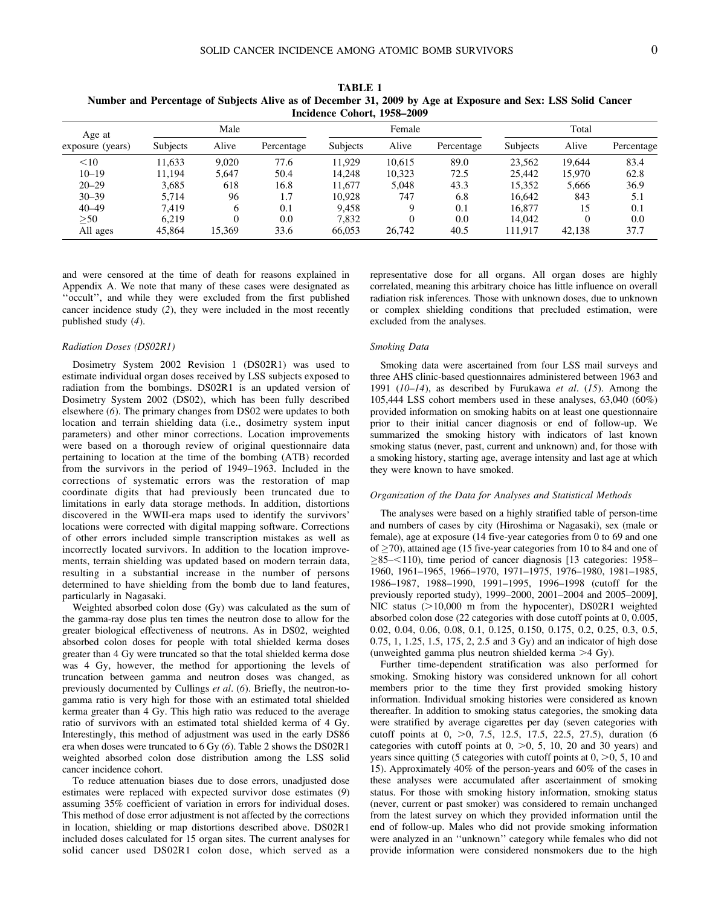|                            | Incidence Cohort, 1958–2009 |        |            |          |        |            |          |        |            |  |  |  |
|----------------------------|-----------------------------|--------|------------|----------|--------|------------|----------|--------|------------|--|--|--|
| Age at<br>exposure (years) | Male                        |        |            |          | Female |            | Total    |        |            |  |  |  |
|                            | <b>Subjects</b>             | Alive  | Percentage | Subjects | Alive  | Percentage | Subjects | Alive  | Percentage |  |  |  |
| <10                        | 11,633                      | 9.020  | 77.6       | 11.929   | 10.615 | 89.0       | 23.562   | 19.644 | 83.4       |  |  |  |
| $10 - 19$                  | 11.194                      | 5.647  | 50.4       | 14.248   | 10,323 | 72.5       | 25.442   | 15,970 | 62.8       |  |  |  |
| $20 - 29$                  | 3.685                       | 618    | 16.8       | 11.677   | 5.048  | 43.3       | 15,352   | 5.666  | 36.9       |  |  |  |
| $30 - 39$                  | 5.714                       | 96     | 1.7        | 10.928   | 747    | 6.8        | 16.642   | 843    | 5.1        |  |  |  |
| $40 - 49$                  | 7.419                       | 6      | 0.1        | 9.458    |        | 0.1        | 16.877   | 15     | 0.1        |  |  |  |
| $\geq 50$                  | 6.219                       |        | 0.0        | 7.832    |        | 0.0        | 14.042   | 0      | 0.0        |  |  |  |
| All ages                   | 45,864                      | 15,369 | 33.6       | 66.053   | 26,742 | 40.5       | 111.917  | 42.138 | 37.7       |  |  |  |

TABLE 1 Number and Percentage of Subjects Alive as of December 31, 2009 by Age at Exposure and Sex: LSS Solid Cancer

and were censored at the time of death for reasons explained in Appendix A. We note that many of these cases were designated as ''occult'', and while they were excluded from the first published cancer incidence study (2), they were included in the most recently published study (4).

#### Radiation Doses (DS02R1)

Dosimetry System 2002 Revision 1 (DS02R1) was used to estimate individual organ doses received by LSS subjects exposed to radiation from the bombings. DS02R1 is an updated version of Dosimetry System 2002 (DS02), which has been fully described elsewhere (6). The primary changes from DS02 were updates to both location and terrain shielding data (i.e., dosimetry system input parameters) and other minor corrections. Location improvements were based on a thorough review of original questionnaire data pertaining to location at the time of the bombing (ATB) recorded from the survivors in the period of 1949–1963. Included in the corrections of systematic errors was the restoration of map coordinate digits that had previously been truncated due to limitations in early data storage methods. In addition, distortions discovered in the WWII-era maps used to identify the survivors' locations were corrected with digital mapping software. Corrections of other errors included simple transcription mistakes as well as incorrectly located survivors. In addition to the location improvements, terrain shielding was updated based on modern terrain data, resulting in a substantial increase in the number of persons determined to have shielding from the bomb due to land features, particularly in Nagasaki.

Weighted absorbed colon dose (Gy) was calculated as the sum of the gamma-ray dose plus ten times the neutron dose to allow for the greater biological effectiveness of neutrons. As in DS02, weighted absorbed colon doses for people with total shielded kerma doses greater than 4 Gy were truncated so that the total shielded kerma dose was 4 Gy, however, the method for apportioning the levels of truncation between gamma and neutron doses was changed, as previously documented by Cullings et al. (6). Briefly, the neutron-togamma ratio is very high for those with an estimated total shielded kerma greater than 4 Gy. This high ratio was reduced to the average ratio of survivors with an estimated total shielded kerma of 4 Gy. Interestingly, this method of adjustment was used in the early DS86 era when doses were truncated to 6 Gy (6). Table 2 shows the DS02R1 weighted absorbed colon dose distribution among the LSS solid cancer incidence cohort.

To reduce attenuation biases due to dose errors, unadjusted dose estimates were replaced with expected survivor dose estimates (9) assuming 35% coefficient of variation in errors for individual doses. This method of dose error adjustment is not affected by the corrections in location, shielding or map distortions described above. DS02R1 included doses calculated for 15 organ sites. The current analyses for solid cancer used DS02R1 colon dose, which served as a representative dose for all organs. All organ doses are highly correlated, meaning this arbitrary choice has little influence on overall radiation risk inferences. Those with unknown doses, due to unknown or complex shielding conditions that precluded estimation, were excluded from the analyses.

#### Smoking Data

Smoking data were ascertained from four LSS mail surveys and three AHS clinic-based questionnaires administered between 1963 and 1991  $(10-14)$ , as described by Furukawa et al.  $(15)$ . Among the 105,444 LSS cohort members used in these analyses, 63,040 (60%) provided information on smoking habits on at least one questionnaire prior to their initial cancer diagnosis or end of follow-up. We summarized the smoking history with indicators of last known smoking status (never, past, current and unknown) and, for those with a smoking history, starting age, average intensity and last age at which they were known to have smoked.

# Organization of the Data for Analyses and Statistical Methods

The analyses were based on a highly stratified table of person-time and numbers of cases by city (Hiroshima or Nagasaki), sex (male or female), age at exposure (14 five-year categories from 0 to 69 and one of  $\geq$ 70), attained age (15 five-year categories from 10 to 84 and one of  $\geq$ 85–<110), time period of cancer diagnosis [13 categories: 1958– 1960, 1961–1965, 1966–1970, 1971–1975, 1976–1980, 1981–1985, 1986–1987, 1988–1990, 1991–1995, 1996–1998 (cutoff for the previously reported study), 1999–2000, 2001–2004 and 2005–2009], NIC status  $(>10,000$  m from the hypocenter), DS02R1 weighted absorbed colon dose (22 categories with dose cutoff points at 0, 0.005, 0.02, 0.04, 0.06, 0.08, 0.1, 0.125, 0.150, 0.175, 0.2, 0.25, 0.3, 0.5, 0.75, 1, 1.25, 1.5, 175, 2, 2.5 and 3 Gy) and an indicator of high dose (unweighted gamma plus neutron shielded kerma  $>4$  Gy).

Further time-dependent stratification was also performed for smoking. Smoking history was considered unknown for all cohort members prior to the time they first provided smoking history information. Individual smoking histories were considered as known thereafter. In addition to smoking status categories, the smoking data were stratified by average cigarettes per day (seven categories with cutoff points at  $0, >0, 7.5, 12.5, 17.5, 22.5, 27.5$ , duration (6) categories with cutoff points at  $0, >0, 5, 10, 20$  and 30 years) and years since quitting (5 categories with cutoff points at  $0, >0, 5, 10$  and 15). Approximately 40% of the person-years and 60% of the cases in these analyses were accumulated after ascertainment of smoking status. For those with smoking history information, smoking status (never, current or past smoker) was considered to remain unchanged from the latest survey on which they provided information until the end of follow-up. Males who did not provide smoking information were analyzed in an ''unknown'' category while females who did not provide information were considered nonsmokers due to the high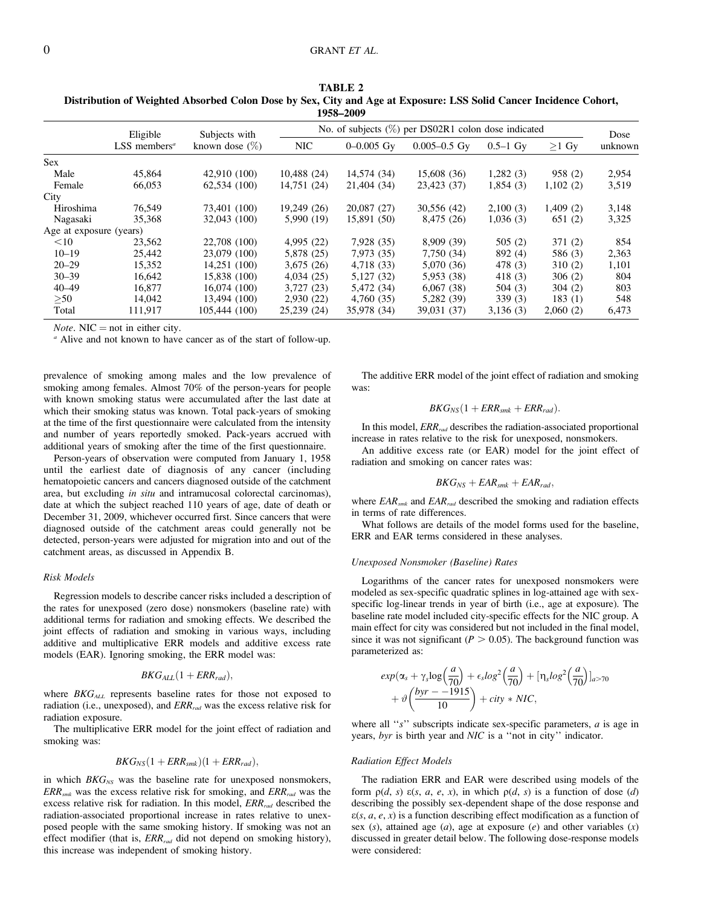| <b>TABLE 2</b>                                                                                                    |
|-------------------------------------------------------------------------------------------------------------------|
| Distribution of Weighted Absorbed Colon Dose by Sex, City and Age at Exposure: LSS Solid Cancer Incidence Cohort, |
| 1050 วกกก                                                                                                         |

| 1958–2009               |                            |                   |             |                |                                                        |              |          |         |  |  |  |
|-------------------------|----------------------------|-------------------|-------------|----------------|--------------------------------------------------------|--------------|----------|---------|--|--|--|
|                         | Eligible                   | Subjects with     |             |                | No. of subjects $(\%)$ per DS02R1 colon dose indicated |              |          | Dose    |  |  |  |
|                         | $LSS$ members <sup>a</sup> | known dose $(\%)$ | <b>NIC</b>  | $0 - 0.005$ Gy | $0.005 - 0.5$ Gy                                       | $0.5 - 1$ Gy | $>1$ Gy  | unknown |  |  |  |
| <b>Sex</b>              |                            |                   |             |                |                                                        |              |          |         |  |  |  |
| Male                    | 45,864                     | 42,910 (100)      | 10,488 (24) | 14,574 (34)    | 15,608 (36)                                            | 1,282(3)     | 958(2)   | 2,954   |  |  |  |
| Female                  | 66,053                     | 62,534(100)       | 14,751 (24) | 21,404 (34)    | 23,423 (37)                                            | 1,854(3)     | 1,102(2) | 3,519   |  |  |  |
| City                    |                            |                   |             |                |                                                        |              |          |         |  |  |  |
| Hiroshima               | 76.549                     | 73,401 (100)      | 19,249 (26) | 20,087 (27)    | 30,556 (42)                                            | 2,100(3)     | 1,409(2) | 3,148   |  |  |  |
| Nagasaki                | 35,368                     | 32,043 (100)      | 5,990 (19)  | 15,891 (50)    | 8,475 (26)                                             | 1,036(3)     | 651(2)   | 3,325   |  |  |  |
| Age at exposure (years) |                            |                   |             |                |                                                        |              |          |         |  |  |  |
| $<$ 10                  | 23.562                     | 22,708 (100)      | 4,995(22)   | 7,928 (35)     | 8,909 (39)                                             | 505(2)       | 371(2)   | 854     |  |  |  |
| $10 - 19$               | 25,442                     | 23,079 (100)      | 5,878 (25)  | 7,973 (35)     | 7,750 (34)                                             | 892 (4)      | 586 (3)  | 2,363   |  |  |  |
| $20 - 29$               | 15,352                     | 14,251 (100)      | 3,675(26)   | 4,718 (33)     | 5,070 (36)                                             | 478 (3)      | 310(2)   | 1,101   |  |  |  |
| $30 - 39$               | 16,642                     | 15,838 (100)      | 4,034(25)   | 5,127 (32)     | 5,953 (38)                                             | 418 $(3)$    | 306(2)   | 804     |  |  |  |
| $40 - 49$               | 16.877                     | 16,074(100)       | 3,727(23)   | 5,472 (34)     | 6,067(38)                                              | 504(3)       | 304(2)   | 803     |  |  |  |
| >50                     | 14.042                     | 13,494 (100)      | 2,930(22)   | 4,760 (35)     | 5,282 (39)                                             | 339(3)       | 183(1)   | 548     |  |  |  |
| Total                   | 111,917                    | 105,444 (100)     | 25,239 (24) | 35,978 (34)    | 39,031 (37)                                            | 3,136(3)     | 2,060(2) | 6,473   |  |  |  |

*Note*. NIC = not in either city.

<sup>a</sup> Alive and not known to have cancer as of the start of follow-up.

prevalence of smoking among males and the low prevalence of smoking among females. Almost 70% of the person-years for people with known smoking status were accumulated after the last date at which their smoking status was known. Total pack-years of smoking at the time of the first questionnaire were calculated from the intensity and number of years reportedly smoked. Pack-years accrued with additional years of smoking after the time of the first questionnaire.

Person-years of observation were computed from January 1, 1958 until the earliest date of diagnosis of any cancer (including hematopoietic cancers and cancers diagnosed outside of the catchment area, but excluding in situ and intramucosal colorectal carcinomas), date at which the subject reached 110 years of age, date of death or December 31, 2009, whichever occurred first. Since cancers that were diagnosed outside of the catchment areas could generally not be detected, person-years were adjusted for migration into and out of the catchment areas, as discussed in Appendix B.

# Risk Models

Regression models to describe cancer risks included a description of the rates for unexposed (zero dose) nonsmokers (baseline rate) with additional terms for radiation and smoking effects. We described the joint effects of radiation and smoking in various ways, including additive and multiplicative ERR models and additive excess rate models (EAR). Ignoring smoking, the ERR model was:

$$
BKG_{ALL}(1 + ERR_{rad}),
$$

where  $BKG_{ALL}$  represents baseline rates for those not exposed to radiation (i.e., unexposed), and  $ERR_{rad}$  was the excess relative risk for radiation exposure.

The multiplicative ERR model for the joint effect of radiation and smoking was:

$$
BKG_{NS}(1+ERR_{smk})(1+ERR_{rad}),
$$

in which  $BKG_{NS}$  was the baseline rate for unexposed nonsmokers,  $ERR_{smk}$  was the excess relative risk for smoking, and  $ERR_{rad}$  was the excess relative risk for radiation. In this model,  $ERR_{rad}$  described the radiation-associated proportional increase in rates relative to unexposed people with the same smoking history. If smoking was not an effect modifier (that is,  $ERR_{rad}$  did not depend on smoking history), this increase was independent of smoking history.

The additive ERR model of the joint effect of radiation and smoking was:

$$
BKG_{NS}(1 + ERR_{smk} + ERR_{rad}).
$$

In this model,  $ERR_{rad}$  describes the radiation-associated proportional increase in rates relative to the risk for unexposed, nonsmokers.

An additive excess rate (or EAR) model for the joint effect of radiation and smoking on cancer rates was:

$$
BKG_{NS} + EAR_{smk} + EAR_{rad},
$$

where  $EAR_{smk}$  and  $EAR_{rad}$  described the smoking and radiation effects in terms of rate differences.

What follows are details of the model forms used for the baseline, ERR and EAR terms considered in these analyses.

#### Unexposed Nonsmoker (Baseline) Rates

Logarithms of the cancer rates for unexposed nonsmokers were modeled as sex-specific quadratic splines in log-attained age with sexspecific log-linear trends in year of birth (i.e., age at exposure). The baseline rate model included city-specific effects for the NIC group. A main effect for city was considered but not included in the final model, since it was not significant ( $P > 0.05$ ). The background function was parameterized as:

$$
exp(\alpha_s + \gamma_s \log(\frac{a}{70}) + \epsilon_s \log^2(\frac{a}{70}) + [\eta_s \log^2(\frac{a}{70})]_{a>70}
$$
  
+  $\vartheta(\frac{byr - -1915}{10}) + city * NIC,$ 

where all " $s$ " subscripts indicate sex-specific parameters,  $a$  is age in years, byr is birth year and NIC is a ''not in city'' indicator.

#### Radiation Effect Models

The radiation ERR and EAR were described using models of the form  $p(d, s)$   $\varepsilon(s, a, e, x)$ , in which  $p(d, s)$  is a function of dose  $(d)$ describing the possibly sex-dependent shape of the dose response and  $\varepsilon(s, a, e, x)$  is a function describing effect modification as a function of sex  $(s)$ , attained age  $(a)$ , age at exposure  $(e)$  and other variables  $(x)$ discussed in greater detail below. The following dose-response models were considered: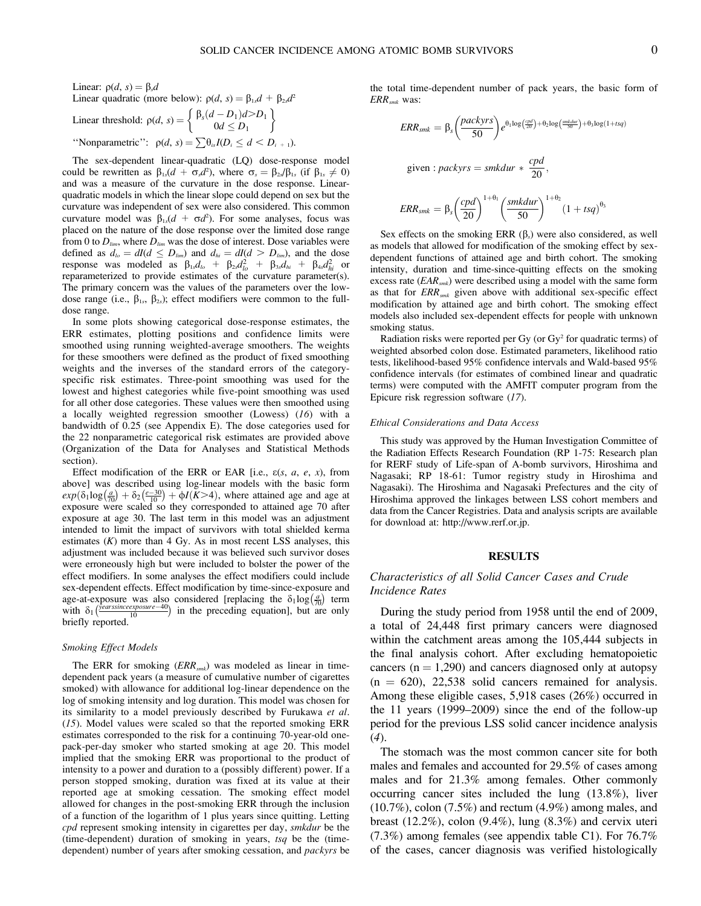Linear:  $\rho(d, s) = \beta_s d$ Linear quadratic (more below):  $\rho(d, s) = \beta_{1s}d + \beta_{2s}d^2$ Linear threshold:  $p(d, s) = \begin{cases} \beta_s(d - D_1)d > D_1 \\ 0 & \text{if } s \in \mathbb{R} \end{cases}$  $0d \leq D_1$  $\left(\begin{array}{cc} 0 & 1 \\ 0 & \end{array}\right)$ "Nonparametric":  $\rho(d, s) = \sum \theta_{is} I(D_i \le d < D_{i+1}).$ 

The sex-dependent linear-quadratic (LQ) dose-response model could be rewritten as  $\beta_{1s}(d + \sigma_s d^2)$ , where  $\sigma_s = \beta_{2s}/\beta_{1s}$  (if  $\beta_{1s} \neq 0$ ) and was a measure of the curvature in the dose response. Linearquadratic models in which the linear slope could depend on sex but the curvature was independent of sex were also considered. This common curvature model was  $\beta_{1s}(d + \sigma d^2)$ . For some analyses, focus was placed on the nature of the dose response over the limited dose range from 0 to  $D_{lim}$ , where  $D_{lim}$  was the dose of interest. Dose variables were defined as  $d_{10} = dI(d \leq D_{lim})$  and  $d_{hi} = dI(d > D_{lim})$ , and the dose response was modeled as  $\beta_{1s}d_{lo} + \beta_{2s}d_{lo}^2 + \beta_{3s}d_{hi} + \beta_{4s}d_{hi}^2$  or reparameterized to provide estimates of the curvature parameter(s). The primary concern was the values of the parameters over the lowdose range (i.e.,  $\beta_{1s}$ ,  $\beta_{2s}$ ); effect modifiers were common to the fulldose range.

In some plots showing categorical dose-response estimates, the ERR estimates, plotting positions and confidence limits were smoothed using running weighted-average smoothers. The weights for these smoothers were defined as the product of fixed smoothing weights and the inverses of the standard errors of the categoryspecific risk estimates. Three-point smoothing was used for the lowest and highest categories while five-point smoothing was used for all other dose categories. These values were then smoothed using a locally weighted regression smoother (Lowess) (16) with a bandwidth of 0.25 (see Appendix E). The dose categories used for the 22 nonparametric categorical risk estimates are provided above (Organization of the Data for Analyses and Statistical Methods section).

Effect modification of the ERR or EAR [i.e.,  $\varepsilon(s, a, e, x)$ , from above] was described using log-linear models with the basic form  $exp(\delta_1 log(\frac{a}{70}) + \delta_2(\frac{e-30}{10}) + \phi I(K>4))$ , where attained age and age at exposure were scaled so they corresponded to attained age 70 after exposure at age 30. The last term in this model was an adjustment intended to limit the impact of survivors with total shielded kerma estimates  $(K)$  more than 4 Gy. As in most recent LSS analyses, this adjustment was included because it was believed such survivor doses were erroneously high but were included to bolster the power of the effect modifiers. In some analyses the effect modifiers could include sex-dependent effects. Effect modification by time-since-exposure and age-at-exposure was also considered [replacing the  $\delta_1 \log(\frac{a}{70})$  term age-at-exposure was also considered [replacing the  $\delta_1 \log(\frac{a}{70})$  term<br>age-at-exposure was also considered [replacing the  $\delta_1 \log(\frac{a}{70})$  term ege-ar-cxposure- $\frac{20}{10}$  in the preceding equation], but are only briefly reported.

## Smoking Effect Models

The ERR for smoking  $(ERR_{smk})$  was modeled as linear in timedependent pack years (a measure of cumulative number of cigarettes smoked) with allowance for additional log-linear dependence on the log of smoking intensity and log duration. This model was chosen for its similarity to a model previously described by Furukawa et al. (15). Model values were scaled so that the reported smoking ERR estimates corresponded to the risk for a continuing 70-year-old onepack-per-day smoker who started smoking at age 20. This model implied that the smoking ERR was proportional to the product of intensity to a power and duration to a (possibly different) power. If a person stopped smoking, duration was fixed at its value at their reported age at smoking cessation. The smoking effect model allowed for changes in the post-smoking ERR through the inclusion of a function of the logarithm of 1 plus years since quitting. Letting cpd represent smoking intensity in cigarettes per day, smkdur be the (time-dependent) duration of smoking in years,  $tsq$  be the (timedependent) number of years after smoking cessation, and packyrs be the total time-dependent number of pack years, the basic form of  $ERR_{smk}$  was:

$$
ERR_{smk} = \beta_s \left(\frac{packyrs}{50}\right) e^{\theta_1 \log\left(\frac{cpd}{20}\right) + \theta_2 \log\left(\frac{smkdw}{50}\right) + \theta_3 \log(1 + tsq)}
$$
  
given : packyrs = smkdur \*  $\frac{cpd}{20}$ ,  

$$
ERR_{smk} = \beta_s \left(\frac{cpd}{20}\right)^{1+\theta_1} \left(\frac{smkdur}{50}\right)^{1+\theta_2} (1 + tsq)^{\theta_3}
$$

Sex effects on the smoking ERR  $(\beta_s)$  were also considered, as well as models that allowed for modification of the smoking effect by sexdependent functions of attained age and birth cohort. The smoking intensity, duration and time-since-quitting effects on the smoking excess rate  $(EAR_{smk})$  were described using a model with the same form as that for  $ERR_{smk}$  given above with additional sex-specific effect modification by attained age and birth cohort. The smoking effect models also included sex-dependent effects for people with unknown smoking status.

Radiation risks were reported per Gy (or Gy2 for quadratic terms) of weighted absorbed colon dose. Estimated parameters, likelihood ratio tests, likelihood-based 95% confidence intervals and Wald-based 95% confidence intervals (for estimates of combined linear and quadratic terms) were computed with the AMFIT computer program from the Epicure risk regression software (17).

#### Ethical Considerations and Data Access

This study was approved by the Human Investigation Committee of the Radiation Effects Research Foundation (RP 1-75: Research plan for RERF study of Life-span of A-bomb survivors, Hiroshima and Nagasaki; RP 18-61: Tumor registry study in Hiroshima and Nagasaki). The Hiroshima and Nagasaki Prefectures and the city of Hiroshima approved the linkages between LSS cohort members and data from the Cancer Registries. Data and analysis scripts are available for download at: http://www.rerf.or.jp.

### RESULTS

# Characteristics of all Solid Cancer Cases and Crude Incidence Rates

During the study period from 1958 until the end of 2009, a total of 24,448 first primary cancers were diagnosed within the catchment areas among the 105,444 subjects in the final analysis cohort. After excluding hematopoietic cancers  $(n = 1,290)$  and cancers diagnosed only at autopsy  $(n = 620)$ , 22,538 solid cancers remained for analysis. Among these eligible cases, 5,918 cases (26%) occurred in the 11 years (1999–2009) since the end of the follow-up period for the previous LSS solid cancer incidence analysis  $(4)$ .

The stomach was the most common cancer site for both males and females and accounted for 29.5% of cases among males and for 21.3% among females. Other commonly occurring cancer sites included the lung (13.8%), liver  $(10.7\%)$ , colon  $(7.5\%)$  and rectum  $(4.9\%)$  among males, and breast  $(12.2\%)$ , colon  $(9.4\%)$ , lung  $(8.3\%)$  and cervix uteri (7.3%) among females (see appendix table C1). For 76.7% of the cases, cancer diagnosis was verified histologically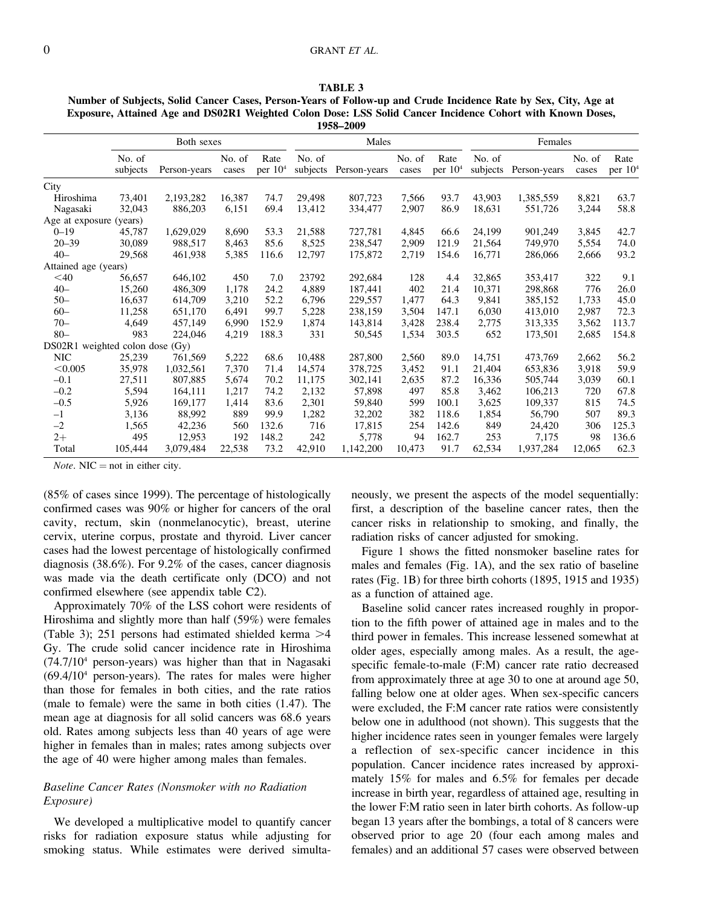| 1000000                                                                                                         |
|-----------------------------------------------------------------------------------------------------------------|
| Number of Subjects, Solid Cancer Cases, Person-Years of Follow-up and Crude Incidence Rate by Sex, City, Age at |
| Exposure, Attained Age and DS02R1 Weighted Colon Dose: LSS Solid Cancer Incidence Cohort with Known Doses,      |
| 1958–2009                                                                                                       |

TABLE 2

|                         |                          | Both sexes   |                 |                   |                    | Males        |                 |                   | Females            |              |                 |                   |
|-------------------------|--------------------------|--------------|-----------------|-------------------|--------------------|--------------|-----------------|-------------------|--------------------|--------------|-----------------|-------------------|
|                         | No. of<br>subjects       | Person-years | No. of<br>cases | Rate<br>per $104$ | No. of<br>subjects | Person-years | No. of<br>cases | Rate<br>per $104$ | No. of<br>subjects | Person-years | No. of<br>cases | Rate<br>per $104$ |
| City                    |                          |              |                 |                   |                    |              |                 |                   |                    |              |                 |                   |
| Hiroshima               | 73,401                   | 2,193,282    | 16,387          | 74.7              | 29,498             | 807,723      | 7,566           | 93.7              | 43,903             | 1,385,559    | 8,821           | 63.7              |
| Nagasaki                | 32,043                   | 886,203      | 6,151           | 69.4              | 13,412             | 334,477      | 2,907           | 86.9              | 18,631             | 551,726      | 3,244           | 58.8              |
| Age at exposure (years) |                          |              |                 |                   |                    |              |                 |                   |                    |              |                 |                   |
| $0 - 19$                | 45,787                   | 1,629,029    | 8,690           | 53.3              | 21,588             | 727,781      | 4,845           | 66.6              | 24,199             | 901,249      | 3,845           | 42.7              |
| $20 - 39$               | 30,089                   | 988,517      | 8,463           | 85.6              | 8,525              | 238,547      | 2,909           | 121.9             | 21,564             | 749,970      | 5,554           | 74.0              |
| $40-$                   | 29,568                   | 461,938      | 5,385           | 116.6             | 12,797             | 175,872      | 2,719           | 154.6             | 16,771             | 286,066      | 2,666           | 93.2              |
| Attained age (years)    |                          |              |                 |                   |                    |              |                 |                   |                    |              |                 |                   |
| $<$ 40                  | 56,657                   | 646,102      | 450             | 7.0               | 23792              | 292,684      | 128             | 4.4               | 32,865             | 353,417      | 322             | 9.1               |
| $40-$                   | 15,260                   | 486,309      | 1,178           | 24.2              | 4,889              | 187,441      | 402             | 21.4              | 10,371             | 298,868      | 776             | 26.0              |
| $50-$                   | 16,637                   | 614,709      | 3,210           | 52.2              | 6,796              | 229,557      | 1,477           | 64.3              | 9,841              | 385,152      | 1,733           | 45.0              |
| $60 -$                  | 11,258                   | 651,170      | 6,491           | 99.7              | 5,228              | 238,159      | 3,504           | 147.1             | 6,030              | 413,010      | 2,987           | 72.3              |
| $70-$                   | 4.649                    | 457,149      | 6.990           | 152.9             | 1,874              | 143,814      | 3,428           | 238.4             | 2,775              | 313,335      | 3,562           | 113.7             |
| $80 -$                  | 983                      | 224,046      | 4,219           | 188.3             | 331                | 50,545       | 1,534           | 303.5             | 652                | 173,501      | 2,685           | 154.8             |
| DS02R1                  | weighted colon dose (Gy) |              |                 |                   |                    |              |                 |                   |                    |              |                 |                   |
| <b>NIC</b>              | 25,239                   | 761,569      | 5,222           | 68.6              | 10,488             | 287,800      | 2,560           | 89.0              | 14,751             | 473,769      | 2,662           | 56.2              |
| < 0.005                 | 35,978                   | 1,032,561    | 7,370           | 71.4              | 14,574             | 378,725      | 3,452           | 91.1              | 21,404             | 653,836      | 3,918           | 59.9              |
| $-0.1$                  | 27,511                   | 807,885      | 5,674           | 70.2              | 11,175             | 302,141      | 2,635           | 87.2              | 16,336             | 505,744      | 3,039           | 60.1              |
| $-0.2$                  | 5,594                    | 164.111      | 1,217           | 74.2              | 2,132              | 57,898       | 497             | 85.8              | 3,462              | 106,213      | 720             | 67.8              |
| $-0.5$                  | 5,926                    | 169,177      | 1,414           | 83.6              | 2,301              | 59,840       | 599             | 100.1             | 3,625              | 109,337      | 815             | 74.5              |
| $-1$                    | 3,136                    | 88,992       | 889             | 99.9              | 1,282              | 32,202       | 382             | 118.6             | 1,854              | 56,790       | 507             | 89.3              |
| $-2$                    | 1,565                    | 42,236       | 560             | 132.6             | 716                | 17,815       | 254             | 142.6             | 849                | 24,420       | 306             | 125.3             |
| $2+$                    | 495                      | 12,953       | 192             | 148.2             | 242                | 5,778        | 94              | 162.7             | 253                | 7,175        | 98              | 136.6             |
| Total                   | 105,444                  | 3,079,484    | 22,538          | 73.2              | 42,910             | 1,142,200    | 10,473          | 91.7              | 62,534             | 1,937,284    | 12,065          | 62.3              |

*Note.* NIC = not in either city.

(85% of cases since 1999). The percentage of histologically confirmed cases was 90% or higher for cancers of the oral cavity, rectum, skin (nonmelanocytic), breast, uterine cervix, uterine corpus, prostate and thyroid. Liver cancer cases had the lowest percentage of histologically confirmed diagnosis (38.6%). For 9.2% of the cases, cancer diagnosis was made via the death certificate only (DCO) and not confirmed elsewhere (see appendix table C2).

Approximately 70% of the LSS cohort were residents of Hiroshima and slightly more than half (59%) were females (Table 3); 251 persons had estimated shielded kerma  $>4$ Gy. The crude solid cancer incidence rate in Hiroshima  $(74.7/10<sup>4</sup>$  person-years) was higher than that in Nagasaki  $(69.4/10<sup>4</sup>$  person-years). The rates for males were higher than those for females in both cities, and the rate ratios (male to female) were the same in both cities (1.47). The mean age at diagnosis for all solid cancers was 68.6 years old. Rates among subjects less than 40 years of age were higher in females than in males; rates among subjects over the age of 40 were higher among males than females.

# Baseline Cancer Rates (Nonsmoker with no Radiation Exposure)

We developed a multiplicative model to quantify cancer risks for radiation exposure status while adjusting for smoking status. While estimates were derived simultaneously, we present the aspects of the model sequentially: first, a description of the baseline cancer rates, then the cancer risks in relationship to smoking, and finally, the radiation risks of cancer adjusted for smoking.

Figure 1 shows the fitted nonsmoker baseline rates for males and females (Fig. 1A), and the sex ratio of baseline rates (Fig. 1B) for three birth cohorts (1895, 1915 and 1935) as a function of attained age.

Baseline solid cancer rates increased roughly in proportion to the fifth power of attained age in males and to the third power in females. This increase lessened somewhat at older ages, especially among males. As a result, the agespecific female-to-male (F:M) cancer rate ratio decreased from approximately three at age 30 to one at around age 50, falling below one at older ages. When sex-specific cancers were excluded, the F:M cancer rate ratios were consistently below one in adulthood (not shown). This suggests that the higher incidence rates seen in younger females were largely a reflection of sex-specific cancer incidence in this population. Cancer incidence rates increased by approximately 15% for males and 6.5% for females per decade increase in birth year, regardless of attained age, resulting in the lower F:M ratio seen in later birth cohorts. As follow-up began 13 years after the bombings, a total of 8 cancers were observed prior to age 20 (four each among males and females) and an additional 57 cases were observed between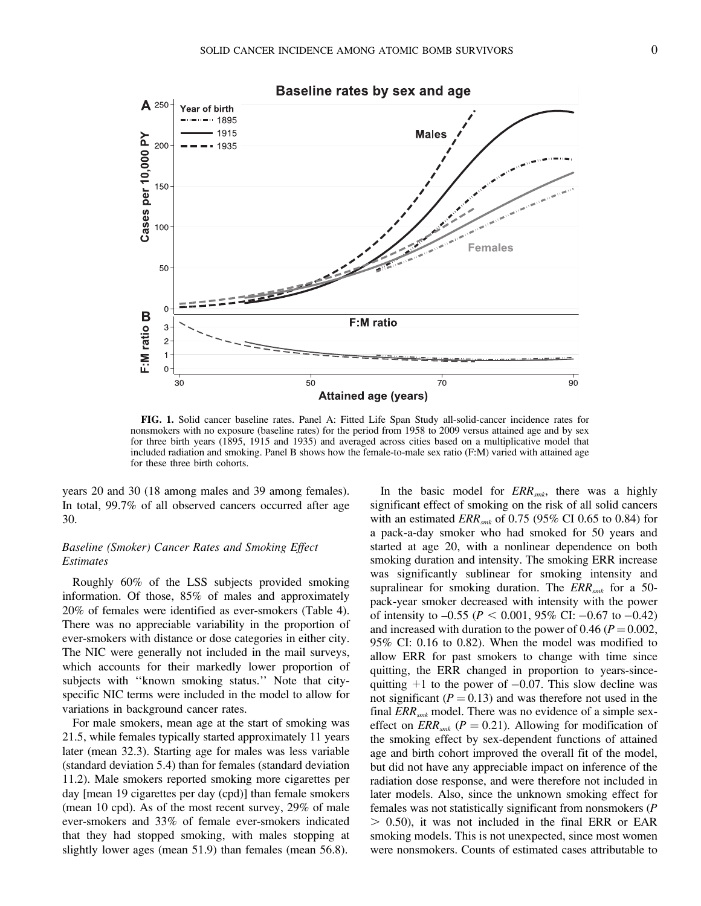

FIG. 1. Solid cancer baseline rates. Panel A: Fitted Life Span Study all-solid-cancer incidence rates for nonsmokers with no exposure (baseline rates) for the period from 1958 to 2009 versus attained age and by sex for three birth years (1895, 1915 and 1935) and averaged across cities based on a multiplicative model that included radiation and smoking. Panel B shows how the female-to-male sex ratio (F:M) varied with attained age for these three birth cohorts.

years 20 and 30 (18 among males and 39 among females). In total, 99.7% of all observed cancers occurred after age 30.

# Baseline (Smoker) Cancer Rates and Smoking Effect Estimates

Roughly 60% of the LSS subjects provided smoking information. Of those, 85% of males and approximately 20% of females were identified as ever-smokers (Table 4). There was no appreciable variability in the proportion of ever-smokers with distance or dose categories in either city. The NIC were generally not included in the mail surveys, which accounts for their markedly lower proportion of subjects with ''known smoking status.'' Note that cityspecific NIC terms were included in the model to allow for variations in background cancer rates.

For male smokers, mean age at the start of smoking was 21.5, while females typically started approximately 11 years later (mean 32.3). Starting age for males was less variable (standard deviation 5.4) than for females (standard deviation 11.2). Male smokers reported smoking more cigarettes per day [mean 19 cigarettes per day (cpd)] than female smokers (mean 10 cpd). As of the most recent survey, 29% of male ever-smokers and 33% of female ever-smokers indicated that they had stopped smoking, with males stopping at slightly lower ages (mean 51.9) than females (mean 56.8).

In the basic model for  $ERR_{smk}$ , there was a highly significant effect of smoking on the risk of all solid cancers with an estimated  $ERR_{smk}$  of 0.75 (95% CI 0.65 to 0.84) for a pack-a-day smoker who had smoked for 50 years and started at age 20, with a nonlinear dependence on both smoking duration and intensity. The smoking ERR increase was significantly sublinear for smoking intensity and supralinear for smoking duration. The  $ERR_{smk}$  for a 50pack-year smoker decreased with intensity with the power of intensity to  $-0.55$  ( $P < 0.001$ , 95% CI:  $-0.67$  to  $-0.42$ ) and increased with duration to the power of 0.46 ( $P = 0.002$ , 95% CI: 0.16 to 0.82). When the model was modified to allow ERR for past smokers to change with time since quitting, the ERR changed in proportion to years-sincequitting  $+1$  to the power of  $-0.07$ . This slow decline was not significant ( $P = 0.13$ ) and was therefore not used in the final  $ERR_{smk}$  model. There was no evidence of a simple sexeffect on  $ERR_{smk}$  ( $P = 0.21$ ). Allowing for modification of the smoking effect by sex-dependent functions of attained age and birth cohort improved the overall fit of the model, but did not have any appreciable impact on inference of the radiation dose response, and were therefore not included in later models. Also, since the unknown smoking effect for females was not statistically significant from nonsmokers (P  $> 0.50$ , it was not included in the final ERR or EAR smoking models. This is not unexpected, since most women were nonsmokers. Counts of estimated cases attributable to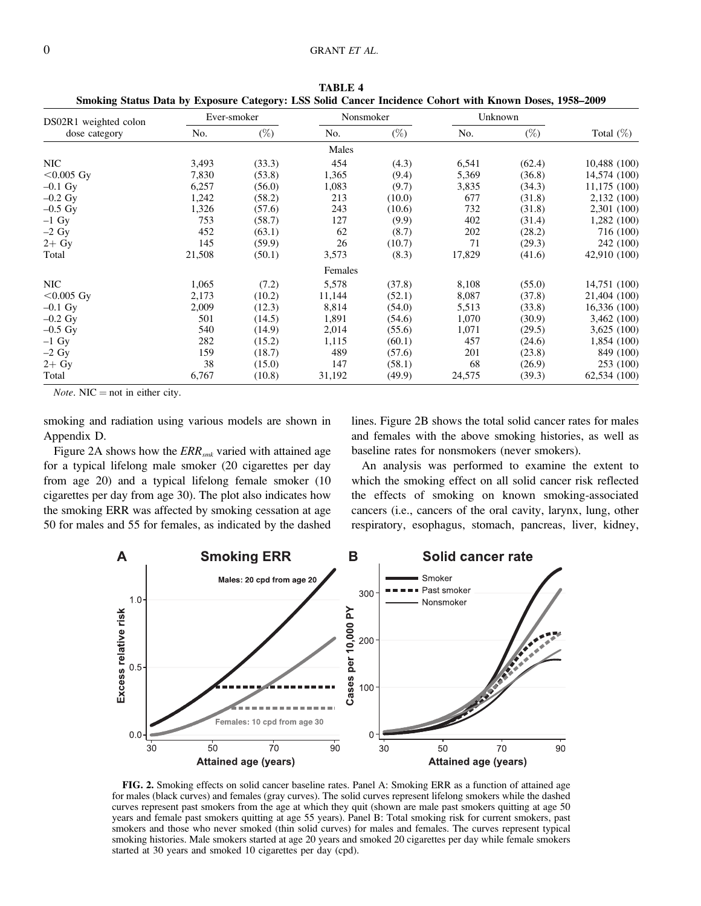| DS02R1 weighted colon | Ever-smoker |        | Nonsmoker |        | Unknown |        |              |
|-----------------------|-------------|--------|-----------|--------|---------|--------|--------------|
| dose category         | No.         | $(\%)$ | No.       | $(\%)$ | No.     | $(\%)$ | Total $(\%)$ |
|                       |             |        | Males     |        |         |        |              |
| NIC                   | 3,493       | (33.3) | 454       | (4.3)  | 6,541   | (62.4) | 10,488 (100) |
| $< 0.005 \text{ Gy}$  | 7,830       | (53.8) | 1,365     | (9.4)  | 5,369   | (36.8) | 14,574 (100) |
| $-0.1$ Gy             | 6,257       | (56.0) | 1,083     | (9.7)  | 3,835   | (34.3) | 11,175 (100) |
| $-0.2$ Gy             | 1,242       | (58.2) | 213       | (10.0) | 677     | (31.8) | 2,132 (100)  |
| $-0.5$ Gy             | 1,326       | (57.6) | 243       | (10.6) | 732     | (31.8) | 2,301 (100)  |
| $-1$ Gy               | 753         | (58.7) | 127       | (9.9)  | 402     | (31.4) | 1,282 (100)  |
| $-2$ Gy               | 452         | (63.1) | 62        | (8.7)  | 202     | (28.2) | 716 (100)    |
| $2+$ Gy               | 145         | (59.9) | 26        | (10.7) | 71      | (29.3) | 242 (100)    |
| Total                 | 21,508      | (50.1) | 3,573     | (8.3)  | 17,829  | (41.6) | 42,910 (100) |
|                       |             |        | Females   |        |         |        |              |
| NIC                   | 1,065       | (7.2)  | 5,578     | (37.8) | 8,108   | (55.0) | 14,751 (100) |
| $< 0.005 \text{ Gy}$  | 2,173       | (10.2) | 11,144    | (52.1) | 8,087   | (37.8) | 21,404 (100) |
| $-0.1$ Gy             | 2,009       | (12.3) | 8,814     | (54.0) | 5,513   | (33.8) | 16,336 (100) |
| $-0.2 \text{ Gy}$     | 501         | (14.5) | 1,891     | (54.6) | 1,070   | (30.9) | 3,462 (100)  |
| $-0.5$ Gy             | 540         | (14.9) | 2,014     | (55.6) | 1,071   | (29.5) | 3,625(100)   |
| $-1$ Gy               | 282         | (15.2) | 1,115     | (60.1) | 457     | (24.6) | 1,854 (100)  |
| $-2$ Gy               | 159         | (18.7) | 489       | (57.6) | 201     | (23.8) | 849 (100)    |
| $2+$ Gy               | 38          | (15.0) | 147       | (58.1) | 68      | (26.9) | 253 (100)    |
| Total                 | 6,767       | (10.8) | 31,192    | (49.9) | 24,575  | (39.3) | 62,534 (100) |
|                       |             |        |           |        |         |        |              |

TABLE 4 Smoking Status Data by Exposure Category: LSS Solid Cancer Incidence Cohort with Known Doses, 1958–2009

*Note.* NIC = not in either city.

smoking and radiation using various models are shown in Appendix D.

Figure 2A shows how the  $ERR_{smk}$  varied with attained age for a typical lifelong male smoker (20 cigarettes per day from age 20) and a typical lifelong female smoker (10 cigarettes per day from age 30). The plot also indicates how the smoking ERR was affected by smoking cessation at age 50 for males and 55 for females, as indicated by the dashed lines. Figure 2B shows the total solid cancer rates for males and females with the above smoking histories, as well as baseline rates for nonsmokers (never smokers).

An analysis was performed to examine the extent to which the smoking effect on all solid cancer risk reflected the effects of smoking on known smoking-associated cancers (i.e., cancers of the oral cavity, larynx, lung, other respiratory, esophagus, stomach, pancreas, liver, kidney,



FIG. 2. Smoking effects on solid cancer baseline rates. Panel A: Smoking ERR as a function of attained age for males (black curves) and females (gray curves). The solid curves represent lifelong smokers while the dashed curves represent past smokers from the age at which they quit (shown are male past smokers quitting at age 50 years and female past smokers quitting at age 55 years). Panel B: Total smoking risk for current smokers, past smokers and those who never smoked (thin solid curves) for males and females. The curves represent typical smoking histories. Male smokers started at age 20 years and smoked 20 cigarettes per day while female smokers started at 30 years and smoked 10 cigarettes per day (cpd).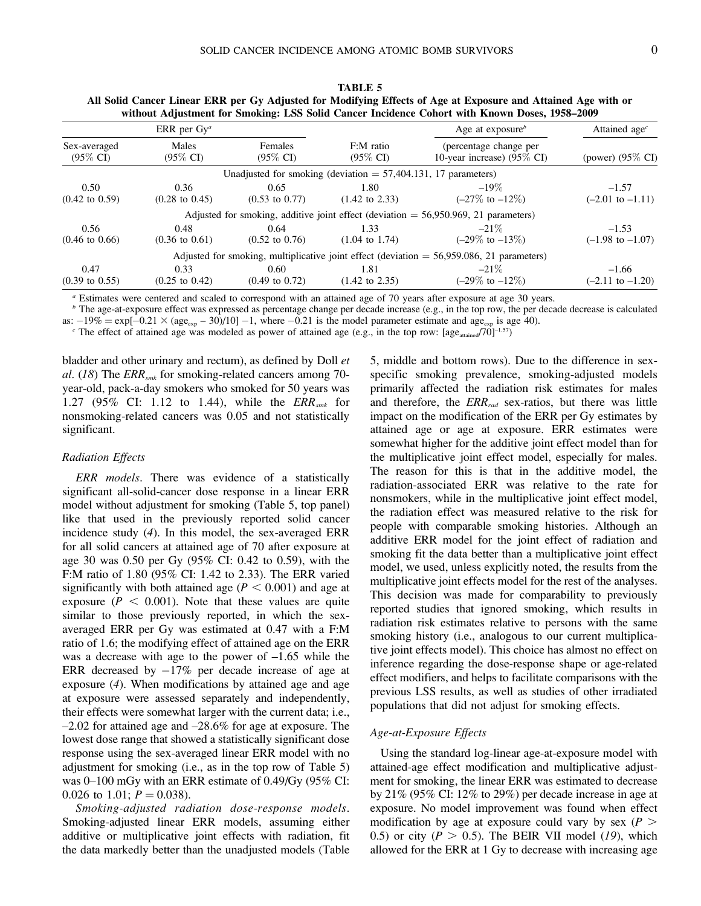|                                     |                              |                                       |                                                                  | without Aujustment for Smoking; LSS Sond Cancer Incidence Conort with Known Doses, 1956–2009 |                             |  |
|-------------------------------------|------------------------------|---------------------------------------|------------------------------------------------------------------|----------------------------------------------------------------------------------------------|-----------------------------|--|
| ERR per $Gy^a$                      |                              |                                       |                                                                  | Age at exposure $\theta$                                                                     | Attained age $\epsilon$     |  |
| Sex-averaged<br>$(95\% \text{ CI})$ | Males<br>$(95\% \text{ CI})$ | <b>Females</b><br>$(95\% \text{ CI})$ | F:M ratio<br>$(95\% \text{ CI})$                                 | (percentage change per<br>10-year increase) $(95\% \text{ CI})$                              | (power) $(95\% \text{ CI})$ |  |
|                                     |                              |                                       | Unadjusted for smoking (deviation $= 57,404.131, 17$ parameters) |                                                                                              |                             |  |
| 0.50                                | 0.36                         | 0.65                                  | 1.80                                                             | $-19\%$                                                                                      | $-1.57$                     |  |
| $(0.42 \text{ to } 0.59)$           | $(0.28 \text{ to } 0.45)$    | $(0.53 \text{ to } 0.77)$             | $(1.42 \text{ to } 2.33)$                                        | $(-27\% \text{ to } -12\%)$                                                                  | $(-2.01 \text{ to } -1.11)$ |  |
|                                     |                              |                                       |                                                                  | Adjusted for smoking, additive joint effect (deviation $= 56,950,969, 21$ parameters)        |                             |  |
| 0.56                                | 0.48                         | 0.64                                  | 1.33                                                             | $-21\%$                                                                                      | $-1.53$                     |  |
| $(0.46 \text{ to } 0.66)$           | $(0.36 \text{ to } 0.61)$    | $(0.52 \text{ to } 0.76)$             | $(1.04 \text{ to } 1.74)$                                        | $(-29\% \text{ to } -13\%)$                                                                  | $(-1.98 \text{ to } -1.07)$ |  |
|                                     |                              |                                       |                                                                  | Adjusted for smoking, multiplicative joint effect (deviation $=$ 56,959.086, 21 parameters)  |                             |  |
| 0.47                                | 0.33                         | $0.60^{\circ}$                        | 1.81                                                             | $-21\%$                                                                                      | $-1.66$                     |  |
| $(0.39 \text{ to } 0.55)$           | $(0.25 \text{ to } 0.42)$    | $(0.49 \text{ to } 0.72)$             | $(1.42 \text{ to } 2.35)$                                        | $(-29\% \text{ to } -12\%)$                                                                  | $(-2.11 \text{ to } -1.20)$ |  |

TABLE 5 All Solid Cancer Linear ERR per Gy Adjusted for Modifying Effects of Age at Exposure and Attained Age with or without Adjustment for Smoking: LSS Solid Cancer Incidence Cohort with Known Doses, 1958–2009

<sup>a</sup> Estimates were centered and scaled to correspond with an attained age of 70 years after exposure at age 30 years.

 $<sup>b</sup>$  The age-at-exposure effect was expressed as percentage change per decade increase (e.g., in the top row, the per decade decrease is calculated</sup> as:  $-19\% = \exp[-0.21 \times (\text{age}_{\text{exp}} - 30)/10] - 1$ , where  $-0.21$  is the model parameter estimate and age<sub>exp</sub> is age 40).

<sup>c</sup> The effect of attained age was modeled as power of attained age (e.g., in the top row: [age<sub>attained</sub>/70]<sup>-1.57</sup>)

bladder and other urinary and rectum), as defined by Doll *et* al. (18) The  $ERR_{smk}$  for smoking-related cancers among 70year-old, pack-a-day smokers who smoked for 50 years was 1.27 (95% CI: 1.12 to 1.44), while the  $ERR_{smk}$  for nonsmoking-related cancers was 0.05 and not statistically significant.

#### Radiation Effects

ERR models. There was evidence of a statistically significant all-solid-cancer dose response in a linear ERR model without adjustment for smoking (Table 5, top panel) like that used in the previously reported solid cancer incidence study (4). In this model, the sex-averaged ERR for all solid cancers at attained age of 70 after exposure at age 30 was 0.50 per Gy (95% CI: 0.42 to 0.59), with the F:M ratio of 1.80 (95% CI: 1.42 to 2.33). The ERR varied significantly with both attained age ( $P < 0.001$ ) and age at exposure ( $P < 0.001$ ). Note that these values are quite similar to those previously reported, in which the sexaveraged ERR per Gy was estimated at 0.47 with a F:M ratio of 1.6; the modifying effect of attained age on the ERR was a decrease with age to the power of  $-1.65$  while the ERR decreased by  $-17\%$  per decade increase of age at exposure (4). When modifications by attained age and age at exposure were assessed separately and independently, their effects were somewhat larger with the current data; i.e., –2.02 for attained age and –28.6% for age at exposure. The lowest dose range that showed a statistically significant dose response using the sex-averaged linear ERR model with no adjustment for smoking (i.e., as in the top row of Table 5) was 0–100 mGy with an ERR estimate of 0.49/Gy (95% CI: 0.026 to 1.01;  $P = 0.038$ ).

Smoking-adjusted radiation dose-response models. Smoking-adjusted linear ERR models, assuming either additive or multiplicative joint effects with radiation, fit the data markedly better than the unadjusted models (Table 5, middle and bottom rows). Due to the difference in sexspecific smoking prevalence, smoking-adjusted models primarily affected the radiation risk estimates for males and therefore, the  $ERR_{rad}$  sex-ratios, but there was little impact on the modification of the ERR per Gy estimates by attained age or age at exposure. ERR estimates were somewhat higher for the additive joint effect model than for the multiplicative joint effect model, especially for males. The reason for this is that in the additive model, the radiation-associated ERR was relative to the rate for nonsmokers, while in the multiplicative joint effect model, the radiation effect was measured relative to the risk for people with comparable smoking histories. Although an additive ERR model for the joint effect of radiation and smoking fit the data better than a multiplicative joint effect model, we used, unless explicitly noted, the results from the multiplicative joint effects model for the rest of the analyses. This decision was made for comparability to previously reported studies that ignored smoking, which results in radiation risk estimates relative to persons with the same smoking history (i.e., analogous to our current multiplicative joint effects model). This choice has almost no effect on inference regarding the dose-response shape or age-related effect modifiers, and helps to facilitate comparisons with the previous LSS results, as well as studies of other irradiated populations that did not adjust for smoking effects.

# Age-at-Exposure Effects

Using the standard log-linear age-at-exposure model with attained-age effect modification and multiplicative adjustment for smoking, the linear ERR was estimated to decrease by 21% (95% CI: 12% to 29%) per decade increase in age at exposure. No model improvement was found when effect modification by age at exposure could vary by sex ( $P >$ 0.5) or city ( $P > 0.5$ ). The BEIR VII model (19), which allowed for the ERR at 1 Gy to decrease with increasing age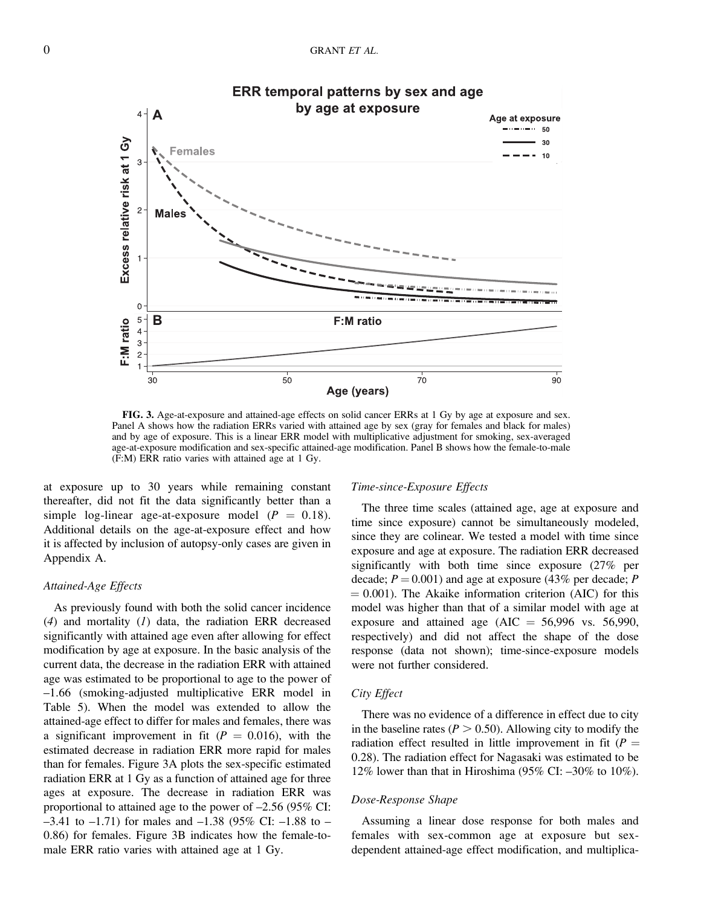

FIG. 3. Age-at-exposure and attained-age effects on solid cancer ERRs at 1 Gy by age at exposure and sex. Panel A shows how the radiation ERRs varied with attained age by sex (gray for females and black for males) and by age of exposure. This is a linear ERR model with multiplicative adjustment for smoking, sex-averaged age-at-exposure modification and sex-specific attained-age modification. Panel B shows how the female-to-male (F:M) ERR ratio varies with attained age at 1 Gy.

at exposure up to 30 years while remaining constant thereafter, did not fit the data significantly better than a simple log-linear age-at-exposure model ( $P = 0.18$ ). Additional details on the age-at-exposure effect and how it is affected by inclusion of autopsy-only cases are given in Appendix A.

# Attained-Age Effects

As previously found with both the solid cancer incidence (4) and mortality (1) data, the radiation ERR decreased significantly with attained age even after allowing for effect modification by age at exposure. In the basic analysis of the current data, the decrease in the radiation ERR with attained age was estimated to be proportional to age to the power of –1.66 (smoking-adjusted multiplicative ERR model in Table 5). When the model was extended to allow the attained-age effect to differ for males and females, there was a significant improvement in fit ( $P = 0.016$ ), with the estimated decrease in radiation ERR more rapid for males than for females. Figure 3A plots the sex-specific estimated radiation ERR at 1 Gy as a function of attained age for three ages at exposure. The decrease in radiation ERR was proportional to attained age to the power of –2.56 (95% CI:  $-3.41$  to  $-1.71$ ) for males and  $-1.38$  (95% CI:  $-1.88$  to  $-$ 0.86) for females. Figure 3B indicates how the female-tomale ERR ratio varies with attained age at 1 Gy.

### Time-since-Exposure Effects

The three time scales (attained age, age at exposure and time since exposure) cannot be simultaneously modeled, since they are colinear. We tested a model with time since exposure and age at exposure. The radiation ERR decreased significantly with both time since exposure (27% per decade;  $P = 0.001$ ) and age at exposure (43% per decade; P  $= 0.001$ ). The Akaike information criterion (AIC) for this model was higher than that of a similar model with age at exposure and attained age (AIC =  $56,996$  vs.  $56,990$ , respectively) and did not affect the shape of the dose response (data not shown); time-since-exposure models were not further considered.

# City Effect

There was no evidence of a difference in effect due to city in the baseline rates ( $P > 0.50$ ). Allowing city to modify the radiation effect resulted in little improvement in fit ( $P =$ 0.28). The radiation effect for Nagasaki was estimated to be 12% lower than that in Hiroshima (95% CI: –30% to 10%).

### Dose-Response Shape

Assuming a linear dose response for both males and females with sex-common age at exposure but sexdependent attained-age effect modification, and multiplica-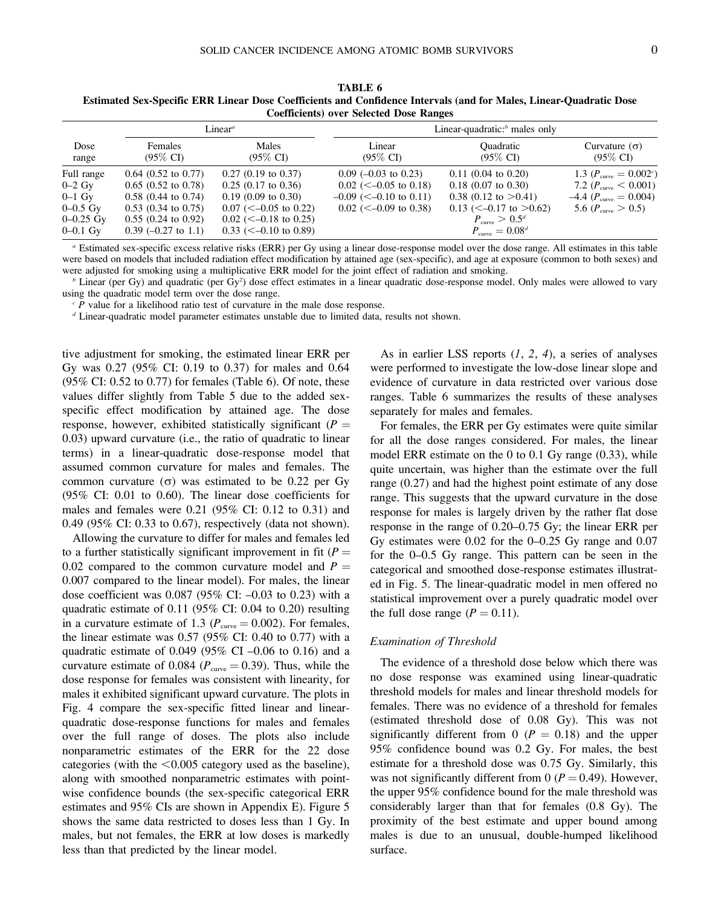|               | Coefficients) over Selected Dose Ranges |                              |                                  |                                         |                                             |  |  |  |  |  |
|---------------|-----------------------------------------|------------------------------|----------------------------------|-----------------------------------------|---------------------------------------------|--|--|--|--|--|
|               |                                         | Linear <sup>a</sup>          | Linear-quadratic: $b$ males only |                                         |                                             |  |  |  |  |  |
| Dose<br>range | Females<br>$(95\% \text{ CI})$          | Males<br>$(95\% \text{ CI})$ | Linear<br>$(95\% \text{ CI})$    | <b>Ouadratic</b><br>$(95\% \text{ CI})$ | Curvature $(\sigma)$<br>$(95\% \text{ CI})$ |  |  |  |  |  |
| Full range    | $0.64$ (0.52 to 0.77)                   | $0.27$ (0.19 to 0.37)        | $0.09$ (-0.03 to 0.23)           | $0.11$ (0.04 to 0.20)                   | 1.3 ( $P_{\text{curve}} = 0.002^c$ )        |  |  |  |  |  |
| $0-2$ Gy      | $0.65$ $(0.52 \text{ to } 0.78)$        | $0.25$ (0.17 to 0.36)        | $0.02$ (< -0.05 to 0.18)         | $0.18$ (0.07 to 0.30)                   | 7.2 ( $P_{\text{curve}}$ < 0.001)           |  |  |  |  |  |
| $0-1$ Gy      | $0.58$ (0.44 to 0.74)                   | $0.19$ (0.09 to 0.30)        | $-0.09$ (< $-0.10$ to 0.11)      | $0.38$ (0.12 to $>0.41$ )               | $-4.4$ ( $P_{\text{curve}} = 0.004$ )       |  |  |  |  |  |
| $0 - 0.5$ Gy  | $0.53$ (0.34 to 0.75)                   | $0.07$ (< -0.05 to 0.22)     | $0.02$ (< -0.09 to 0.38)         | $0.13$ (<-0.17 to >0.62)                | 5.6 ( $P_{\text{curve}} > 0.5$ )            |  |  |  |  |  |
| $0 - 0.25$ Gy | $0.55$ (0.24 to 0.92)                   | $0.02$ (<-0.18 to 0.25)      |                                  | $P_{\text{curve}} > 0.5^d$              |                                             |  |  |  |  |  |
| $0 - 0.1$ Gy  | $0.39$ (-0.27 to 1.1)                   | $0.33$ (< -0.10 to 0.89)     |                                  | $P_{\text{curve}} = 0.08^d$             |                                             |  |  |  |  |  |

TABLE 6 Estimated Sex-Specific ERR Linear Dose Coefficients and Confidence Intervals (and for Males, Linear-Quadratic Dose Coefficients) over Selected Dose Ranges

<sup>a</sup> Estimated sex-specific excess relative risks (ERR) per Gy using a linear dose-response model over the dose range. All estimates in this table were based on models that included radiation effect modification by attained age (sex-specific), and age at exposure (common to both sexes) and were adjusted for smoking using a multiplicative ERR model for the joint effect of radiation and smoking.

 $\Phi$  Linear (per Gy) and quadratic (per Gy<sup>2</sup>) dose effect estimates in a linear quadratic dose-response model. Only males were allowed to vary using the quadratic model term over the dose range.

 $c$  P value for a likelihood ratio test of curvature in the male dose response.

<sup>d</sup> Linear-quadratic model parameter estimates unstable due to limited data, results not shown.

tive adjustment for smoking, the estimated linear ERR per Gy was 0.27 (95% CI: 0.19 to 0.37) for males and 0.64 (95% CI: 0.52 to 0.77) for females (Table 6). Of note, these values differ slightly from Table 5 due to the added sexspecific effect modification by attained age. The dose response, however, exhibited statistically significant ( $P =$ 0.03) upward curvature (i.e., the ratio of quadratic to linear terms) in a linear-quadratic dose-response model that assumed common curvature for males and females. The common curvature  $(\sigma)$  was estimated to be 0.22 per Gy (95% CI: 0.01 to 0.60). The linear dose coefficients for males and females were 0.21 (95% CI: 0.12 to 0.31) and 0.49 (95% CI: 0.33 to 0.67), respectively (data not shown).

Allowing the curvature to differ for males and females led to a further statistically significant improvement in fit ( $P =$ 0.02 compared to the common curvature model and  $P =$ 0.007 compared to the linear model). For males, the linear dose coefficient was  $0.087$  (95% CI:  $-0.03$  to 0.23) with a quadratic estimate of 0.11 (95% CI: 0.04 to 0.20) resulting in a curvature estimate of 1.3 ( $P_{\text{curve}} = 0.002$ ). For females, the linear estimate was 0.57 (95% CI: 0.40 to 0.77) with a quadratic estimate of  $0.049$  (95% CI –0.06 to 0.16) and a curvature estimate of 0.084 ( $P_{\text{curve}} = 0.39$ ). Thus, while the dose response for females was consistent with linearity, for males it exhibited significant upward curvature. The plots in Fig. 4 compare the sex-specific fitted linear and linearquadratic dose-response functions for males and females over the full range of doses. The plots also include nonparametric estimates of the ERR for the 22 dose categories (with the  $< 0.005$  category used as the baseline), along with smoothed nonparametric estimates with pointwise confidence bounds (the sex-specific categorical ERR estimates and 95% CIs are shown in Appendix E). Figure 5 shows the same data restricted to doses less than 1 Gy. In males, but not females, the ERR at low doses is markedly less than that predicted by the linear model.

As in earlier LSS reports  $(1, 2, 4)$ , a series of analyses were performed to investigate the low-dose linear slope and evidence of curvature in data restricted over various dose ranges. Table 6 summarizes the results of these analyses separately for males and females.

For females, the ERR per Gy estimates were quite similar for all the dose ranges considered. For males, the linear model ERR estimate on the 0 to 0.1 Gy range (0.33), while quite uncertain, was higher than the estimate over the full range (0.27) and had the highest point estimate of any dose range. This suggests that the upward curvature in the dose response for males is largely driven by the rather flat dose response in the range of 0.20–0.75 Gy; the linear ERR per Gy estimates were 0.02 for the 0–0.25 Gy range and 0.07 for the 0–0.5 Gy range. This pattern can be seen in the categorical and smoothed dose-response estimates illustrated in Fig. 5. The linear-quadratic model in men offered no statistical improvement over a purely quadratic model over the full dose range  $(P = 0.11)$ .

# Examination of Threshold

The evidence of a threshold dose below which there was no dose response was examined using linear-quadratic threshold models for males and linear threshold models for females. There was no evidence of a threshold for females (estimated threshold dose of 0.08 Gy). This was not significantly different from 0 ( $P = 0.18$ ) and the upper 95% confidence bound was 0.2 Gy. For males, the best estimate for a threshold dose was 0.75 Gy. Similarly, this was not significantly different from 0 ( $P = 0.49$ ). However, the upper 95% confidence bound for the male threshold was considerably larger than that for females (0.8 Gy). The proximity of the best estimate and upper bound among males is due to an unusual, double-humped likelihood surface.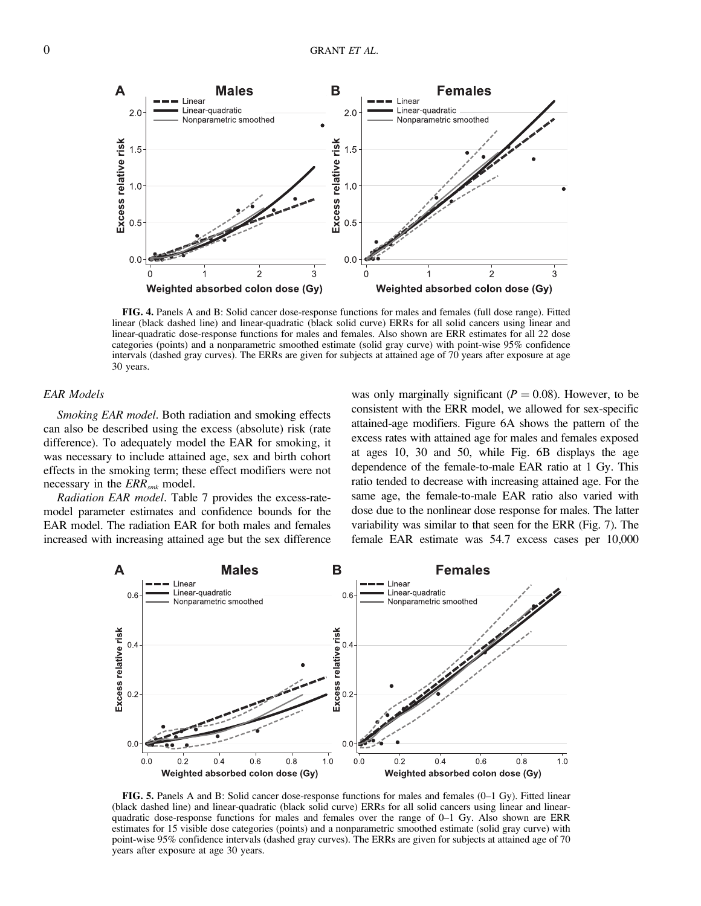

FIG. 4. Panels A and B: Solid cancer dose-response functions for males and females (full dose range). Fitted linear (black dashed line) and linear-quadratic (black solid curve) ERRs for all solid cancers using linear and linear-quadratic dose-response functions for males and females. Also shown are ERR estimates for all 22 dose categories (points) and a nonparametric smoothed estimate (solid gray curve) with point-wise 95% confidence intervals (dashed gray curves). The ERRs are given for subjects at attained age of 70 years after exposure at age 30 years.

# EAR Models

Smoking EAR model. Both radiation and smoking effects can also be described using the excess (absolute) risk (rate difference). To adequately model the EAR for smoking, it was necessary to include attained age, sex and birth cohort effects in the smoking term; these effect modifiers were not necessary in the  $ERR_{smk}$  model.

Radiation EAR model. Table 7 provides the excess-ratemodel parameter estimates and confidence bounds for the EAR model. The radiation EAR for both males and females increased with increasing attained age but the sex difference was only marginally significant ( $P = 0.08$ ). However, to be consistent with the ERR model, we allowed for sex-specific attained-age modifiers. Figure 6A shows the pattern of the excess rates with attained age for males and females exposed at ages 10, 30 and 50, while Fig. 6B displays the age dependence of the female-to-male EAR ratio at 1 Gy. This ratio tended to decrease with increasing attained age. For the same age, the female-to-male EAR ratio also varied with dose due to the nonlinear dose response for males. The latter variability was similar to that seen for the ERR (Fig. 7). The female EAR estimate was 54.7 excess cases per 10,000



FIG. 5. Panels A and B: Solid cancer dose-response functions for males and females (0–1 Gy). Fitted linear (black dashed line) and linear-quadratic (black solid curve) ERRs for all solid cancers using linear and linearquadratic dose-response functions for males and females over the range of 0–1 Gy. Also shown are ERR estimates for 15 visible dose categories (points) and a nonparametric smoothed estimate (solid gray curve) with point-wise 95% confidence intervals (dashed gray curves). The ERRs are given for subjects at attained age of 70 years after exposure at age 30 years.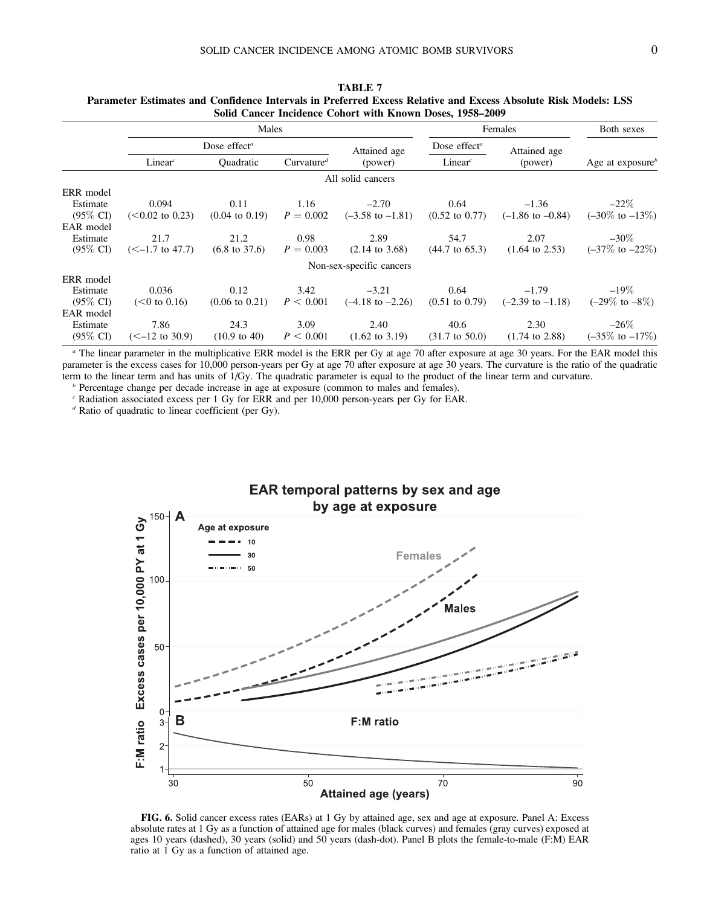|                     |                         | Males                           |                        |                             |                                       | Females                     | Both sexes                   |  |
|---------------------|-------------------------|---------------------------------|------------------------|-----------------------------|---------------------------------------|-----------------------------|------------------------------|--|
|                     |                         | Dose effect <sup><i>a</i></sup> |                        | Attained age                | Dose effect <sup><math>a</math></sup> | Attained age                |                              |  |
|                     | Linear $\epsilon$       | <b>Ouadratic</b>                | Curvature <sup>d</sup> | (power)                     | Linear $\epsilon$                     | (power)                     | Age at exposure <sup>b</sup> |  |
|                     |                         |                                 |                        | All solid cancers           |                                       |                             |                              |  |
| ERR model           |                         |                                 |                        |                             |                                       |                             |                              |  |
| Estimate            | 0.094                   | 0.11                            | 1.16                   | $-2.70$                     | 0.64                                  | $-1.36$                     | $-22\%$                      |  |
| $(95\% \text{ CI})$ | $(<0.02$ to 0.23)       | $(0.04 \text{ to } 0.19)$       | $P = 0.002$            | $(-3.58 \text{ to } -1.81)$ | $(0.52 \text{ to } 0.77)$             | $(-1.86 \text{ to } -0.84)$ | $(-30\% \text{ to } -13\%)$  |  |
| EAR model           |                         |                                 |                        |                             |                                       |                             |                              |  |
| Estimate            | 21.7                    | 21.2                            | 0.98                   | 2.89                        | 54.7                                  | 2.07                        | $-30\%$                      |  |
| $(95\% \text{ CI})$ | $(< -1.7$ to 47.7)      | $(6.8 \text{ to } 37.6)$        | $P = 0.003$            | $(2.14 \text{ to } 3.68)$   | $(44.7 \text{ to } 65.3)$             | $(1.64 \text{ to } 2.53)$   | $(-37\% \text{ to } -22\%)$  |  |
|                     |                         |                                 |                        | Non-sex-specific cancers    |                                       |                             |                              |  |
| ERR model           |                         |                                 |                        |                             |                                       |                             |                              |  |
| Estimate            | 0.036                   | 0.12                            | 3.42                   | $-3.21$                     | 0.64                                  | $-1.79$                     | $-19\%$                      |  |
| $(95\% \text{ CI})$ | $(< 0$ to 0.16)         | $(0.06 \text{ to } 0.21)$       | P < 0.001              | $(-4.18 \text{ to } -2.26)$ | $(0.51 \text{ to } 0.79)$             | $(-2.39 \text{ to } -1.18)$ | $(-29\% \text{ to } -8\%)$   |  |
| EAR model           |                         |                                 |                        |                             |                                       |                             |                              |  |
| Estimate            | 7.86                    | 24.3                            | 3.09                   | 2.40                        | 40.6                                  | 2.30                        | $-26\%$                      |  |
| $(95\% \text{ CI})$ | $\left($ < -12 to 30.9) | $(10.9 \text{ to } 40)$         | P < 0.001              | $(1.62 \text{ to } 3.19)$   | $(31.7 \text{ to } 50.0)$             | $(1.74 \text{ to } 2.88)$   | $(-35\% \text{ to } -17\%)$  |  |

TABLE 7 Parameter Estimates and Confidence Intervals in Preferred Excess Relative and Excess Absolute Risk Models: LSS Solid Cancer Incidence Cohort with Known Doses, 1958–2009

<sup>a</sup> The linear parameter in the multiplicative ERR model is the ERR per Gy at age 70 after exposure at age 30 years. For the EAR model this parameter is the excess cases for 10,000 person-years per Gy at age 70 after exposure at age 30 years. The curvature is the ratio of the quadratic term to the linear term and has units of 1/Gy. The quadratic parameter is equal to the product of the linear term and curvature.

<sup>b</sup> Percentage change per decade increase in age at exposure (common to males and females).

<sup>c</sup> Radiation associated excess per 1 Gy for ERR and per 10,000 person-years per Gy for EAR.

 $d$  Ratio of quadratic to linear coefficient (per Gy).



FIG. 6. Solid cancer excess rates (EARs) at 1 Gy by attained age, sex and age at exposure. Panel A: Excess absolute rates at 1 Gy as a function of attained age for males (black curves) and females (gray curves) exposed at ages 10 years (dashed), 30 years (solid) and 50 years (dash-dot). Panel B plots the female-to-male (F:M) EAR ratio at 1 Gy as a function of attained age.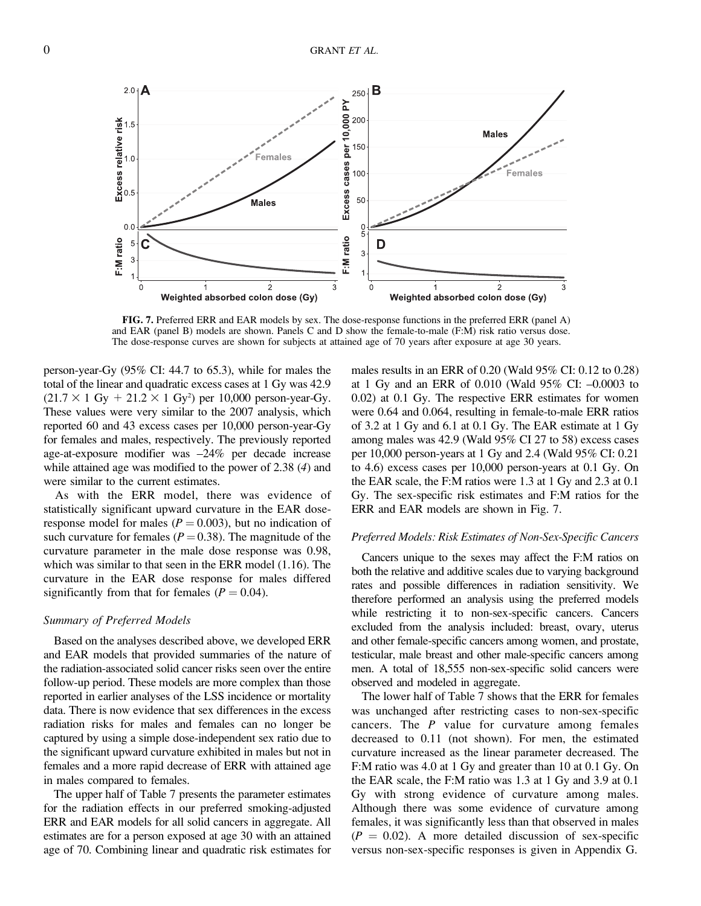

FIG. 7. Preferred ERR and EAR models by sex. The dose-response functions in the preferred ERR (panel A) and EAR (panel B) models are shown. Panels C and D show the female-to-male (F:M) risk ratio versus dose. The dose-response curves are shown for subjects at attained age of 70 years after exposure at age 30 years.

person-year-Gy (95% CI: 44.7 to 65.3), while for males the total of the linear and quadratic excess cases at 1 Gy was 42.9  $(21.7 \times 1 \text{ Gy} + 21.2 \times 1 \text{ Gy}^2)$  per 10,000 person-year-Gy. These values were very similar to the 2007 analysis, which reported 60 and 43 excess cases per 10,000 person-year-Gy for females and males, respectively. The previously reported age-at-exposure modifier was –24% per decade increase while attained age was modified to the power of 2.38 (4) and were similar to the current estimates.

As with the ERR model, there was evidence of statistically significant upward curvature in the EAR doseresponse model for males ( $P = 0.003$ ), but no indication of such curvature for females ( $P = 0.38$ ). The magnitude of the curvature parameter in the male dose response was 0.98, which was similar to that seen in the ERR model (1.16). The curvature in the EAR dose response for males differed significantly from that for females  $(P = 0.04)$ .

# Summary of Preferred Models

Based on the analyses described above, we developed ERR and EAR models that provided summaries of the nature of the radiation-associated solid cancer risks seen over the entire follow-up period. These models are more complex than those reported in earlier analyses of the LSS incidence or mortality data. There is now evidence that sex differences in the excess radiation risks for males and females can no longer be captured by using a simple dose-independent sex ratio due to the significant upward curvature exhibited in males but not in females and a more rapid decrease of ERR with attained age in males compared to females.

The upper half of Table 7 presents the parameter estimates for the radiation effects in our preferred smoking-adjusted ERR and EAR models for all solid cancers in aggregate. All estimates are for a person exposed at age 30 with an attained age of 70. Combining linear and quadratic risk estimates for males results in an ERR of 0.20 (Wald 95% CI: 0.12 to 0.28) at 1 Gy and an ERR of 0.010 (Wald 95% CI: –0.0003 to 0.02) at 0.1 Gy. The respective ERR estimates for women were 0.64 and 0.064, resulting in female-to-male ERR ratios of 3.2 at 1 Gy and 6.1 at 0.1 Gy. The EAR estimate at 1 Gy among males was 42.9 (Wald 95% CI 27 to 58) excess cases per 10,000 person-years at 1 Gy and 2.4 (Wald 95% CI: 0.21 to 4.6) excess cases per 10,000 person-years at 0.1 Gy. On the EAR scale, the F:M ratios were 1.3 at 1 Gy and 2.3 at 0.1 Gy. The sex-specific risk estimates and F:M ratios for the ERR and EAR models are shown in Fig. 7.

# Preferred Models: Risk Estimates of Non-Sex-Specific Cancers

Cancers unique to the sexes may affect the F:M ratios on both the relative and additive scales due to varying background rates and possible differences in radiation sensitivity. We therefore performed an analysis using the preferred models while restricting it to non-sex-specific cancers. Cancers excluded from the analysis included: breast, ovary, uterus and other female-specific cancers among women, and prostate, testicular, male breast and other male-specific cancers among men. A total of 18,555 non-sex-specific solid cancers were observed and modeled in aggregate.

The lower half of Table 7 shows that the ERR for females was unchanged after restricting cases to non-sex-specific cancers. The P value for curvature among females decreased to 0.11 (not shown). For men, the estimated curvature increased as the linear parameter decreased. The F:M ratio was 4.0 at 1 Gy and greater than 10 at 0.1 Gy. On the EAR scale, the F:M ratio was 1.3 at 1 Gy and 3.9 at 0.1 Gy with strong evidence of curvature among males. Although there was some evidence of curvature among females, it was significantly less than that observed in males  $(P = 0.02)$ . A more detailed discussion of sex-specific versus non-sex-specific responses is given in Appendix G.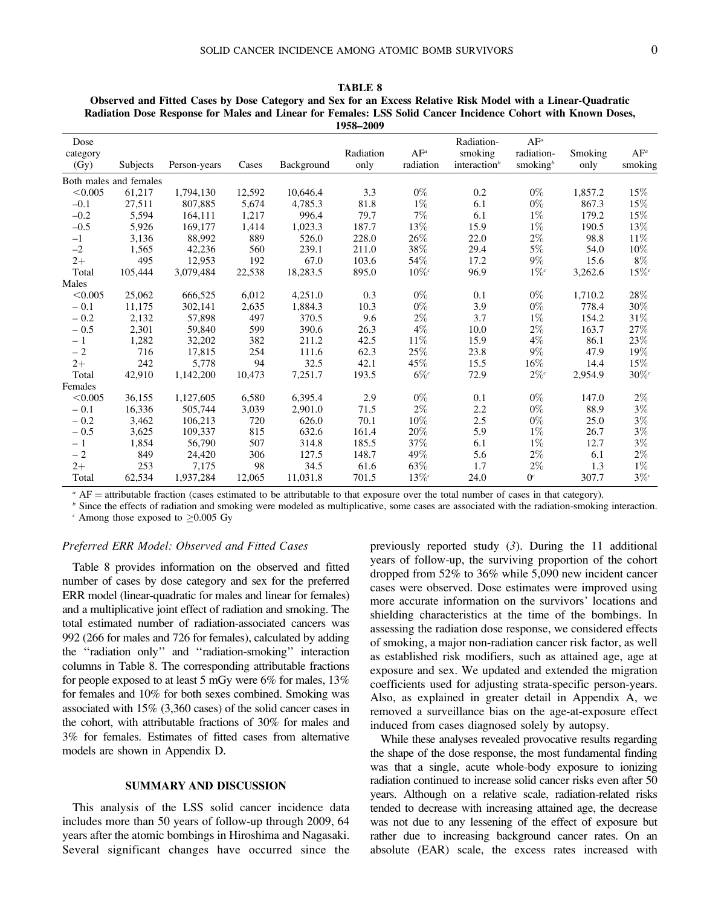|                          |                        |              |        |            | 1950–2009         |                              |                                                   |                                        |                 |                   |
|--------------------------|------------------------|--------------|--------|------------|-------------------|------------------------------|---------------------------------------------------|----------------------------------------|-----------------|-------------------|
| Dose<br>category<br>(Gy) | Subjects               | Person-years | Cases  | Background | Radiation<br>only | $\mathsf{AF}^a$<br>radiation | Radiation-<br>smoking<br>interaction <sup>b</sup> | $AF^a$<br>radiation-<br>smoking $\phi$ | Smoking<br>only | $AF^a$<br>smoking |
|                          | Both males and females |              |        |            |                   |                              |                                                   |                                        |                 |                   |
| < 0.005                  | 61,217                 | 1,794,130    | 12,592 | 10,646.4   | 3.3               | $0\%$                        | 0.2                                               | $0\%$                                  | 1,857.2         | 15\%              |
| $-0.1$                   | 27,511                 | 807.885      | 5,674  | 4,785.3    | 81.8              | $1\%$                        | 6.1                                               | $0\%$                                  | 867.3           | 15%               |
| $-0.2$                   | 5,594                  | 164,111      | 1,217  | 996.4      | 79.7              | $7\%$                        | 6.1                                               | $1\%$                                  | 179.2           | 15%               |
| $-0.5$                   | 5,926                  | 169,177      | 1,414  | 1,023.3    | 187.7             | 13%                          | 15.9                                              | $1\%$                                  | 190.5           | 13%               |
| $-1$                     | 3,136                  | 88,992       | 889    | 526.0      | 228.0             | 26\%                         | 22.0                                              | $2\%$                                  | 98.8            | 11\%              |
| $-2$                     | 1,565                  | 42,236       | 560    | 239.1      | 211.0             | 38%                          | 29.4                                              | $5\%$                                  | 54.0            | 10%               |
| $2+$                     | 495                    | 12,953       | 192    | 67.0       | 103.6             | 54\%                         | 17.2                                              | $9\%$                                  | 15.6            | $8\%$             |
| Total                    | 105,444                | 3,079,484    | 22,538 | 18,283.5   | 895.0             | $10\%^c$                     | 96.9                                              | $1\%$                                  | 3,262.6         | $15\%$            |
| Males                    |                        |              |        |            |                   |                              |                                                   |                                        |                 |                   |
| < 0.005                  | 25,062                 | 666,525      | 6,012  | 4,251.0    | 0.3               | $0\%$                        | 0.1                                               | $0\%$                                  | 1,710.2         | 28\%              |
| $-0.1$                   | 11,175                 | 302,141      | 2,635  | 1,884.3    | 10.3              | $0\%$                        | 3.9                                               | $0\%$                                  | 778.4           | 30%               |
| $-0.2$                   | 2,132                  | 57,898       | 497    | 370.5      | 9.6               | $2\%$                        | 3.7                                               | $1\%$                                  | 154.2           | 31%               |
| $-0.5$                   | 2,301                  | 59,840       | 599    | 390.6      | 26.3              | $4\%$                        | 10.0                                              | $2\%$                                  | 163.7           | 27%               |
| $-1$                     | 1,282                  | 32,202       | 382    | 211.2      | 42.5              | 11\%                         | 15.9                                              | $4\%$                                  | 86.1            | 23%               |
| $-2$                     | 716                    | 17,815       | 254    | 111.6      | 62.3              | 25%                          | 23.8                                              | $9\%$                                  | 47.9            | 19%               |
| $2+$                     | 242                    | 5,778        | 94     | 32.5       | 42.1              | 45%                          | 15.5                                              | 16%                                    | 14.4            | 15%               |
| Total                    | 42,910                 | 1,142,200    | 10,473 | 7,251.7    | 193.5             | $6\%$ <sup>c</sup>           | 72.9                                              | $2\%c$                                 | 2,954.9         | $30\%^c$          |
| Females                  |                        |              |        |            |                   |                              |                                                   |                                        |                 |                   |
| < 0.005                  | 36,155                 | 1,127,605    | 6,580  | 6,395.4    | 2.9               | $0\%$                        | 0.1                                               | $0\%$                                  | 147.0           | $2\%$             |
| $-0.1$                   | 16,336                 | 505,744      | 3,039  | 2,901.0    | 71.5              | $2\%$                        | 2.2                                               | $0\%$                                  | 88.9            | $3\%$             |
| $-0.2$                   | 3,462                  | 106,213      | 720    | 626.0      | 70.1              | 10%                          | 2.5                                               | $0\%$                                  | 25.0            | $3\%$             |
| $-0.5$                   | 3,625                  | 109,337      | 815    | 632.6      | 161.4             | 20%                          | 5.9                                               | $1\%$                                  | 26.7            | $3\%$             |
| $-1$                     | 1,854                  | 56,790       | 507    | 314.8      | 185.5             | 37\%                         | 6.1                                               | $1\%$                                  | 12.7            | $3\%$             |
| $-2$                     | 849                    | 24,420       | 306    | 127.5      | 148.7             | 49\%                         | 5.6                                               | $2\%$                                  | 6.1             | $2\%$             |
| $2+$                     | 253                    | 7,175        | 98     | 34.5       | 61.6              | 63%                          | 1.7                                               | $2\%$                                  | 1.3             | $1\%$             |
| Total                    | 62,534                 | 1,937,284    | 12,065 | 11,031.8   | 701.5             | $13\%^c$                     | 24.0                                              | 0 <sup>c</sup>                         | 307.7           | $3\%$             |

TABLE 8 Observed and Fitted Cases by Dose Category and Sex for an Excess Relative Risk Model with a Linear-Quadratic Radiation Dose Response for Males and Linear for Females: LSS Solid Cancer Incidence Cohort with Known Doses, 1958–2009

 $\alpha$  AF = attributable fraction (cases estimated to be attributable to that exposure over the total number of cases in that category).

<sup>b</sup> Since the effects of radiation and smoking were modeled as multiplicative, some cases are associated with the radiation-smoking interaction.  $\epsilon$  Among those exposed to  $\geq$ 0.005 Gy

# Preferred ERR Model: Observed and Fitted Cases

Table 8 provides information on the observed and fitted number of cases by dose category and sex for the preferred ERR model (linear-quadratic for males and linear for females) and a multiplicative joint effect of radiation and smoking. The total estimated number of radiation-associated cancers was 992 (266 for males and 726 for females), calculated by adding the ''radiation only'' and ''radiation-smoking'' interaction columns in Table 8. The corresponding attributable fractions for people exposed to at least 5 mGy were 6% for males, 13% for females and 10% for both sexes combined. Smoking was associated with 15% (3,360 cases) of the solid cancer cases in the cohort, with attributable fractions of 30% for males and 3% for females. Estimates of fitted cases from alternative models are shown in Appendix D.

# SUMMARY AND DISCUSSION

This analysis of the LSS solid cancer incidence data includes more than 50 years of follow-up through 2009, 64 years after the atomic bombings in Hiroshima and Nagasaki. Several significant changes have occurred since the previously reported study  $(3)$ . During the 11 additional years of follow-up, the surviving proportion of the cohort dropped from 52% to 36% while 5,090 new incident cancer cases were observed. Dose estimates were improved using more accurate information on the survivors' locations and shielding characteristics at the time of the bombings. In assessing the radiation dose response, we considered effects of smoking, a major non-radiation cancer risk factor, as well as established risk modifiers, such as attained age, age at exposure and sex. We updated and extended the migration coefficients used for adjusting strata-specific person-years. Also, as explained in greater detail in Appendix A, we removed a surveillance bias on the age-at-exposure effect induced from cases diagnosed solely by autopsy.

While these analyses revealed provocative results regarding the shape of the dose response, the most fundamental finding was that a single, acute whole-body exposure to ionizing radiation continued to increase solid cancer risks even after 50 years. Although on a relative scale, radiation-related risks tended to decrease with increasing attained age, the decrease was not due to any lessening of the effect of exposure but rather due to increasing background cancer rates. On an absolute (EAR) scale, the excess rates increased with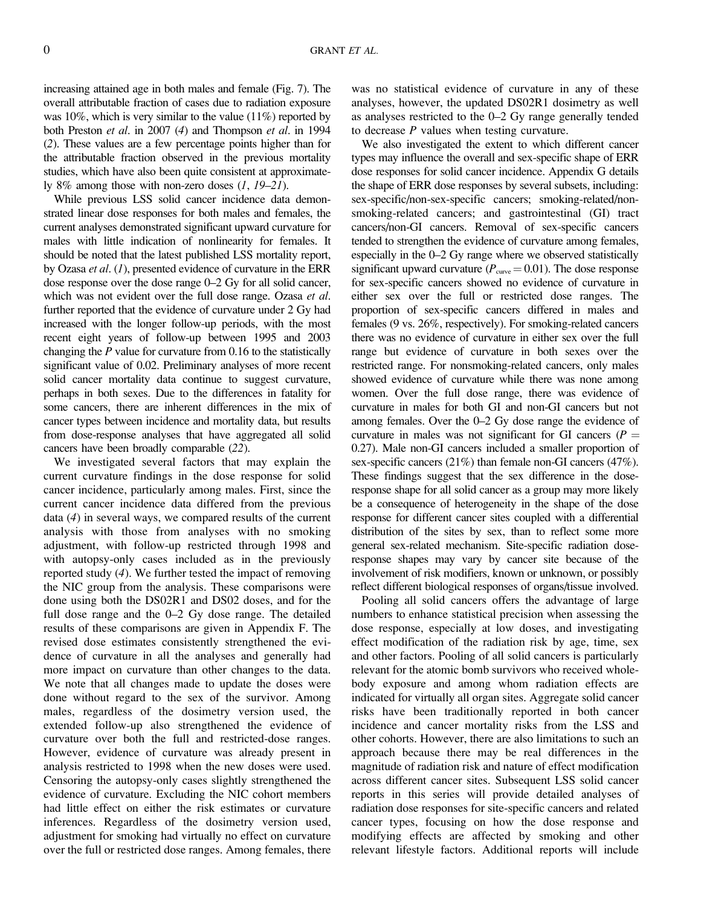increasing attained age in both males and female (Fig. 7). The overall attributable fraction of cases due to radiation exposure was  $10\%$ , which is very similar to the value  $(11\%)$  reported by both Preston et al. in 2007 (4) and Thompson et al. in 1994 (2). These values are a few percentage points higher than for the attributable fraction observed in the previous mortality studies, which have also been quite consistent at approximately 8% among those with non-zero doses  $(1, 19-21)$ .

While previous LSS solid cancer incidence data demonstrated linear dose responses for both males and females, the current analyses demonstrated significant upward curvature for males with little indication of nonlinearity for females. It should be noted that the latest published LSS mortality report, by Ozasa *et al.*  $(I)$ , presented evidence of curvature in the ERR dose response over the dose range 0–2 Gy for all solid cancer, which was not evident over the full dose range. Ozasa et al. further reported that the evidence of curvature under 2 Gy had increased with the longer follow-up periods, with the most recent eight years of follow-up between 1995 and 2003 changing the  $P$  value for curvature from 0.16 to the statistically significant value of 0.02. Preliminary analyses of more recent solid cancer mortality data continue to suggest curvature, perhaps in both sexes. Due to the differences in fatality for some cancers, there are inherent differences in the mix of cancer types between incidence and mortality data, but results from dose-response analyses that have aggregated all solid cancers have been broadly comparable (22).

We investigated several factors that may explain the current curvature findings in the dose response for solid cancer incidence, particularly among males. First, since the current cancer incidence data differed from the previous data (4) in several ways, we compared results of the current analysis with those from analyses with no smoking adjustment, with follow-up restricted through 1998 and with autopsy-only cases included as in the previously reported study (4). We further tested the impact of removing the NIC group from the analysis. These comparisons were done using both the DS02R1 and DS02 doses, and for the full dose range and the 0–2 Gy dose range. The detailed results of these comparisons are given in Appendix F. The revised dose estimates consistently strengthened the evidence of curvature in all the analyses and generally had more impact on curvature than other changes to the data. We note that all changes made to update the doses were done without regard to the sex of the survivor. Among males, regardless of the dosimetry version used, the extended follow-up also strengthened the evidence of curvature over both the full and restricted-dose ranges. However, evidence of curvature was already present in analysis restricted to 1998 when the new doses were used. Censoring the autopsy-only cases slightly strengthened the evidence of curvature. Excluding the NIC cohort members had little effect on either the risk estimates or curvature inferences. Regardless of the dosimetry version used, adjustment for smoking had virtually no effect on curvature over the full or restricted dose ranges. Among females, there was no statistical evidence of curvature in any of these analyses, however, the updated DS02R1 dosimetry as well as analyses restricted to the 0–2 Gy range generally tended to decrease P values when testing curvature.

We also investigated the extent to which different cancer types may influence the overall and sex-specific shape of ERR dose responses for solid cancer incidence. Appendix G details the shape of ERR dose responses by several subsets, including: sex-specific/non-sex-specific cancers; smoking-related/nonsmoking-related cancers; and gastrointestinal (GI) tract cancers/non-GI cancers. Removal of sex-specific cancers tended to strengthen the evidence of curvature among females, especially in the 0–2 Gy range where we observed statistically significant upward curvature ( $P_{\text{curve}} = 0.01$ ). The dose response for sex-specific cancers showed no evidence of curvature in either sex over the full or restricted dose ranges. The proportion of sex-specific cancers differed in males and females (9 vs. 26%, respectively). For smoking-related cancers there was no evidence of curvature in either sex over the full range but evidence of curvature in both sexes over the restricted range. For nonsmoking-related cancers, only males showed evidence of curvature while there was none among women. Over the full dose range, there was evidence of curvature in males for both GI and non-GI cancers but not among females. Over the 0–2 Gy dose range the evidence of curvature in males was not significant for GI cancers ( $P =$ 0.27). Male non-GI cancers included a smaller proportion of sex-specific cancers (21%) than female non-GI cancers (47%). These findings suggest that the sex difference in the doseresponse shape for all solid cancer as a group may more likely be a consequence of heterogeneity in the shape of the dose response for different cancer sites coupled with a differential distribution of the sites by sex, than to reflect some more general sex-related mechanism. Site-specific radiation doseresponse shapes may vary by cancer site because of the involvement of risk modifiers, known or unknown, or possibly reflect different biological responses of organs/tissue involved.

Pooling all solid cancers offers the advantage of large numbers to enhance statistical precision when assessing the dose response, especially at low doses, and investigating effect modification of the radiation risk by age, time, sex and other factors. Pooling of all solid cancers is particularly relevant for the atomic bomb survivors who received wholebody exposure and among whom radiation effects are indicated for virtually all organ sites. Aggregate solid cancer risks have been traditionally reported in both cancer incidence and cancer mortality risks from the LSS and other cohorts. However, there are also limitations to such an approach because there may be real differences in the magnitude of radiation risk and nature of effect modification across different cancer sites. Subsequent LSS solid cancer reports in this series will provide detailed analyses of radiation dose responses for site-specific cancers and related cancer types, focusing on how the dose response and modifying effects are affected by smoking and other relevant lifestyle factors. Additional reports will include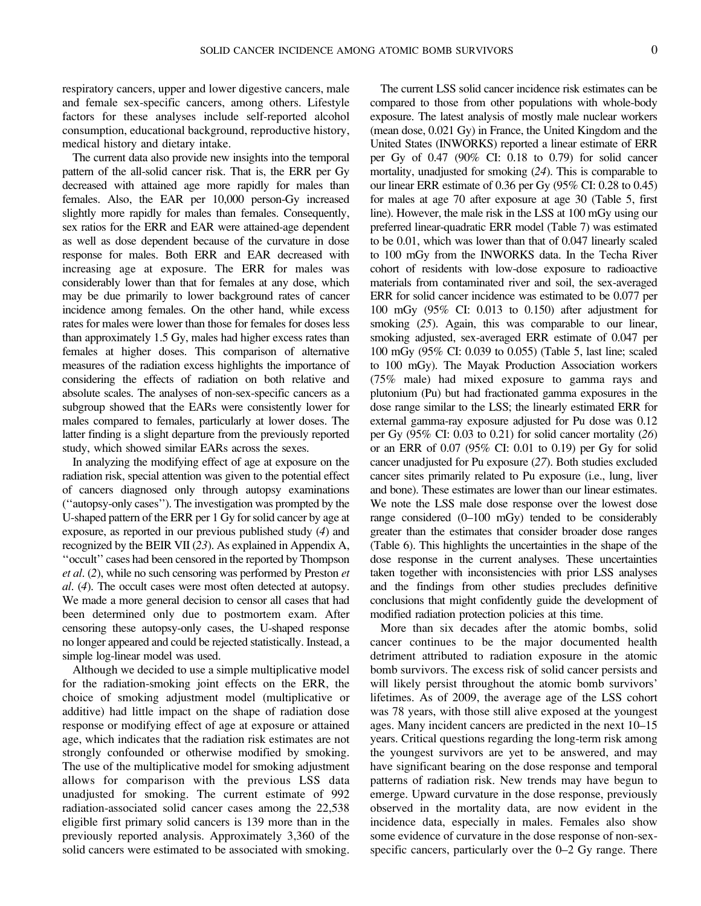respiratory cancers, upper and lower digestive cancers, male and female sex-specific cancers, among others. Lifestyle factors for these analyses include self-reported alcohol consumption, educational background, reproductive history, medical history and dietary intake.

The current data also provide new insights into the temporal pattern of the all-solid cancer risk. That is, the ERR per Gy decreased with attained age more rapidly for males than females. Also, the EAR per 10,000 person-Gy increased slightly more rapidly for males than females. Consequently, sex ratios for the ERR and EAR were attained-age dependent as well as dose dependent because of the curvature in dose response for males. Both ERR and EAR decreased with increasing age at exposure. The ERR for males was considerably lower than that for females at any dose, which may be due primarily to lower background rates of cancer incidence among females. On the other hand, while excess rates for males were lower than those for females for doses less than approximately 1.5 Gy, males had higher excess rates than females at higher doses. This comparison of alternative measures of the radiation excess highlights the importance of considering the effects of radiation on both relative and absolute scales. The analyses of non-sex-specific cancers as a subgroup showed that the EARs were consistently lower for males compared to females, particularly at lower doses. The latter finding is a slight departure from the previously reported study, which showed similar EARs across the sexes.

In analyzing the modifying effect of age at exposure on the radiation risk, special attention was given to the potential effect of cancers diagnosed only through autopsy examinations (''autopsy-only cases''). The investigation was prompted by the U-shaped pattern of the ERR per 1 Gy for solid cancer by age at exposure, as reported in our previous published study (4) and recognized by the BEIR VII (23). As explained in Appendix A, ''occult'' cases had been censored in the reported by Thompson et al. (2), while no such censoring was performed by Preston et al. (4). The occult cases were most often detected at autopsy. We made a more general decision to censor all cases that had been determined only due to postmortem exam. After censoring these autopsy-only cases, the U-shaped response no longer appeared and could be rejected statistically. Instead, a simple log-linear model was used.

Although we decided to use a simple multiplicative model for the radiation-smoking joint effects on the ERR, the choice of smoking adjustment model (multiplicative or additive) had little impact on the shape of radiation dose response or modifying effect of age at exposure or attained age, which indicates that the radiation risk estimates are not strongly confounded or otherwise modified by smoking. The use of the multiplicative model for smoking adjustment allows for comparison with the previous LSS data unadjusted for smoking. The current estimate of 992 radiation-associated solid cancer cases among the 22,538 eligible first primary solid cancers is 139 more than in the previously reported analysis. Approximately 3,360 of the solid cancers were estimated to be associated with smoking.

The current LSS solid cancer incidence risk estimates can be compared to those from other populations with whole-body exposure. The latest analysis of mostly male nuclear workers (mean dose, 0.021 Gy) in France, the United Kingdom and the United States (INWORKS) reported a linear estimate of ERR per Gy of 0.47 (90% CI: 0.18 to 0.79) for solid cancer mortality, unadjusted for smoking (24). This is comparable to our linear ERR estimate of 0.36 per Gy (95% CI: 0.28 to 0.45) for males at age 70 after exposure at age 30 (Table 5, first line). However, the male risk in the LSS at 100 mGy using our preferred linear-quadratic ERR model (Table 7) was estimated to be 0.01, which was lower than that of 0.047 linearly scaled to 100 mGy from the INWORKS data. In the Techa River cohort of residents with low-dose exposure to radioactive materials from contaminated river and soil, the sex-averaged ERR for solid cancer incidence was estimated to be 0.077 per 100 mGy (95% CI: 0.013 to 0.150) after adjustment for smoking (25). Again, this was comparable to our linear, smoking adjusted, sex-averaged ERR estimate of 0.047 per 100 mGy (95% CI: 0.039 to 0.055) (Table 5, last line; scaled to 100 mGy). The Mayak Production Association workers (75% male) had mixed exposure to gamma rays and plutonium (Pu) but had fractionated gamma exposures in the dose range similar to the LSS; the linearly estimated ERR for external gamma-ray exposure adjusted for Pu dose was 0.12 per Gy (95% CI: 0.03 to 0.21) for solid cancer mortality (26) or an ERR of 0.07 (95% CI: 0.01 to 0.19) per Gy for solid cancer unadjusted for Pu exposure (27). Both studies excluded cancer sites primarily related to Pu exposure (i.e., lung, liver and bone). These estimates are lower than our linear estimates. We note the LSS male dose response over the lowest dose range considered (0–100 mGy) tended to be considerably greater than the estimates that consider broader dose ranges (Table 6). This highlights the uncertainties in the shape of the dose response in the current analyses. These uncertainties taken together with inconsistencies with prior LSS analyses and the findings from other studies precludes definitive conclusions that might confidently guide the development of modified radiation protection policies at this time.

More than six decades after the atomic bombs, solid cancer continues to be the major documented health detriment attributed to radiation exposure in the atomic bomb survivors. The excess risk of solid cancer persists and will likely persist throughout the atomic bomb survivors' lifetimes. As of 2009, the average age of the LSS cohort was 78 years, with those still alive exposed at the youngest ages. Many incident cancers are predicted in the next 10–15 years. Critical questions regarding the long-term risk among the youngest survivors are yet to be answered, and may have significant bearing on the dose response and temporal patterns of radiation risk. New trends may have begun to emerge. Upward curvature in the dose response, previously observed in the mortality data, are now evident in the incidence data, especially in males. Females also show some evidence of curvature in the dose response of non-sexspecific cancers, particularly over the 0–2 Gy range. There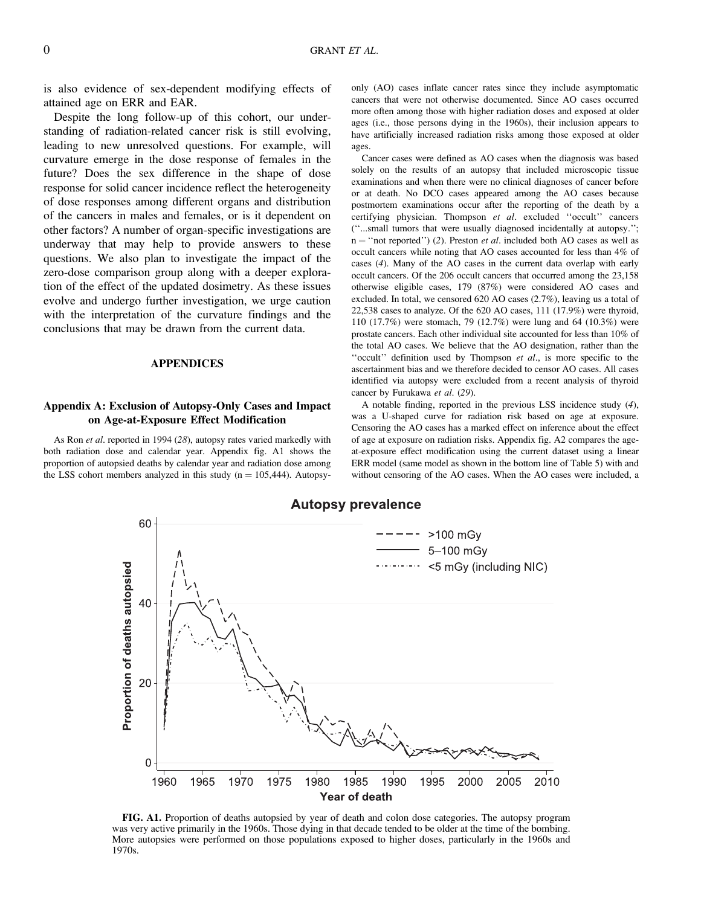is also evidence of sex-dependent modifying effects of attained age on ERR and EAR.

Despite the long follow-up of this cohort, our understanding of radiation-related cancer risk is still evolving, leading to new unresolved questions. For example, will curvature emerge in the dose response of females in the future? Does the sex difference in the shape of dose response for solid cancer incidence reflect the heterogeneity of dose responses among different organs and distribution of the cancers in males and females, or is it dependent on other factors? A number of organ-specific investigations are underway that may help to provide answers to these questions. We also plan to investigate the impact of the zero-dose comparison group along with a deeper exploration of the effect of the updated dosimetry. As these issues evolve and undergo further investigation, we urge caution with the interpretation of the curvature findings and the conclusions that may be drawn from the current data.

## APPENDICES

# Appendix A: Exclusion of Autopsy-Only Cases and Impact on Age-at-Exposure Effect Modification

As Ron et al. reported in 1994 (28), autopsy rates varied markedly with both radiation dose and calendar year. Appendix fig. A1 shows the proportion of autopsied deaths by calendar year and radiation dose among the LSS cohort members analyzed in this study  $(n = 105,444)$ . Autopsyonly (AO) cases inflate cancer rates since they include asymptomatic cancers that were not otherwise documented. Since AO cases occurred more often among those with higher radiation doses and exposed at older ages (i.e., those persons dying in the 1960s), their inclusion appears to have artificially increased radiation risks among those exposed at older ages.

Cancer cases were defined as AO cases when the diagnosis was based solely on the results of an autopsy that included microscopic tissue examinations and when there were no clinical diagnoses of cancer before or at death. No DCO cases appeared among the AO cases because postmortem examinations occur after the reporting of the death by a certifying physician. Thompson et al. excluded "occult" cancers (''...small tumors that were usually diagnosed incidentally at autopsy.'';  $n = "not reported")$  (2). Preston *et al.* included both AO cases as well as occult cancers while noting that AO cases accounted for less than 4% of cases (4). Many of the AO cases in the current data overlap with early occult cancers. Of the 206 occult cancers that occurred among the 23,158 otherwise eligible cases, 179 (87%) were considered AO cases and excluded. In total, we censored 620 AO cases (2.7%), leaving us a total of 22,538 cases to analyze. Of the 620 AO cases, 111 (17.9%) were thyroid, 110 (17.7%) were stomach, 79 (12.7%) were lung and 64 (10.3%) were prostate cancers. Each other individual site accounted for less than 10% of the total AO cases. We believe that the AO designation, rather than the "occult" definition used by Thompson  $et$   $al$ , is more specific to the ascertainment bias and we therefore decided to censor AO cases. All cases identified via autopsy were excluded from a recent analysis of thyroid cancer by Furukawa et al. (29).

A notable finding, reported in the previous LSS incidence study (4), was a U-shaped curve for radiation risk based on age at exposure. Censoring the AO cases has a marked effect on inference about the effect of age at exposure on radiation risks. Appendix fig. A2 compares the ageat-exposure effect modification using the current dataset using a linear ERR model (same model as shown in the bottom line of Table 5) with and without censoring of the AO cases. When the AO cases were included, a

# **Autopsy prevalence**



FIG. A1. Proportion of deaths autopsied by year of death and colon dose categories. The autopsy program was very active primarily in the 1960s. Those dying in that decade tended to be older at the time of the bombing. More autopsies were performed on those populations exposed to higher doses, particularly in the 1960s and 1970s.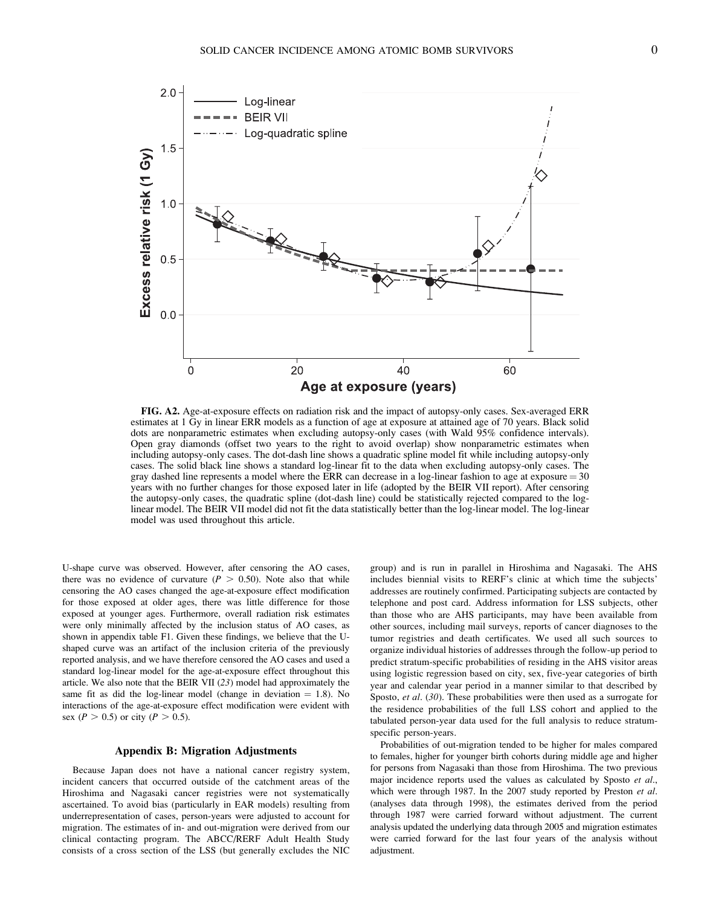

FIG. A2. Age-at-exposure effects on radiation risk and the impact of autopsy-only cases. Sex-averaged ERR estimates at 1 Gy in linear ERR models as a function of age at exposure at attained age of 70 years. Black solid dots are nonparametric estimates when excluding autopsy-only cases (with Wald 95% confidence intervals). Open gray diamonds (offset two years to the right to avoid overlap) show nonparametric estimates when including autopsy-only cases. The dot-dash line shows a quadratic spline model fit while including autopsy-only cases. The solid black line shows a standard log-linear fit to the data when excluding autopsy-only cases. The gray dashed line represents a model where the ERR can decrease in a log-linear fashion to age at exposure  $=$  30 years with no further changes for those exposed later in life (adopted by the BEIR VII report). After censoring the autopsy-only cases, the quadratic spline (dot-dash line) could be statistically rejected compared to the loglinear model. The BEIR VII model did not fit the data statistically better than the log-linear model. The log-linear model was used throughout this article.

U-shape curve was observed. However, after censoring the AO cases, there was no evidence of curvature ( $P > 0.50$ ). Note also that while censoring the AO cases changed the age-at-exposure effect modification for those exposed at older ages, there was little difference for those exposed at younger ages. Furthermore, overall radiation risk estimates were only minimally affected by the inclusion status of AO cases, as shown in appendix table F1. Given these findings, we believe that the Ushaped curve was an artifact of the inclusion criteria of the previously reported analysis, and we have therefore censored the AO cases and used a standard log-linear model for the age-at-exposure effect throughout this article. We also note that the BEIR VII (23) model had approximately the same fit as did the log-linear model (change in deviation  $= 1.8$ ). No interactions of the age-at-exposure effect modification were evident with sex (P  $> 0.5$ ) or city (P  $> 0.5$ ).

#### Appendix B: Migration Adjustments

Because Japan does not have a national cancer registry system, incident cancers that occurred outside of the catchment areas of the Hiroshima and Nagasaki cancer registries were not systematically ascertained. To avoid bias (particularly in EAR models) resulting from underrepresentation of cases, person-years were adjusted to account for migration. The estimates of in- and out-migration were derived from our clinical contacting program. The ABCC/RERF Adult Health Study consists of a cross section of the LSS (but generally excludes the NIC group) and is run in parallel in Hiroshima and Nagasaki. The AHS includes biennial visits to RERF's clinic at which time the subjects' addresses are routinely confirmed. Participating subjects are contacted by telephone and post card. Address information for LSS subjects, other than those who are AHS participants, may have been available from other sources, including mail surveys, reports of cancer diagnoses to the tumor registries and death certificates. We used all such sources to organize individual histories of addresses through the follow-up period to predict stratum-specific probabilities of residing in the AHS visitor areas using logistic regression based on city, sex, five-year categories of birth year and calendar year period in a manner similar to that described by Sposto, et al. (30). These probabilities were then used as a surrogate for the residence probabilities of the full LSS cohort and applied to the tabulated person-year data used for the full analysis to reduce stratumspecific person-years.

Probabilities of out-migration tended to be higher for males compared to females, higher for younger birth cohorts during middle age and higher for persons from Nagasaki than those from Hiroshima. The two previous major incidence reports used the values as calculated by Sposto et al., which were through 1987. In the 2007 study reported by Preston et al. (analyses data through 1998), the estimates derived from the period through 1987 were carried forward without adjustment. The current analysis updated the underlying data through 2005 and migration estimates were carried forward for the last four years of the analysis without adjustment.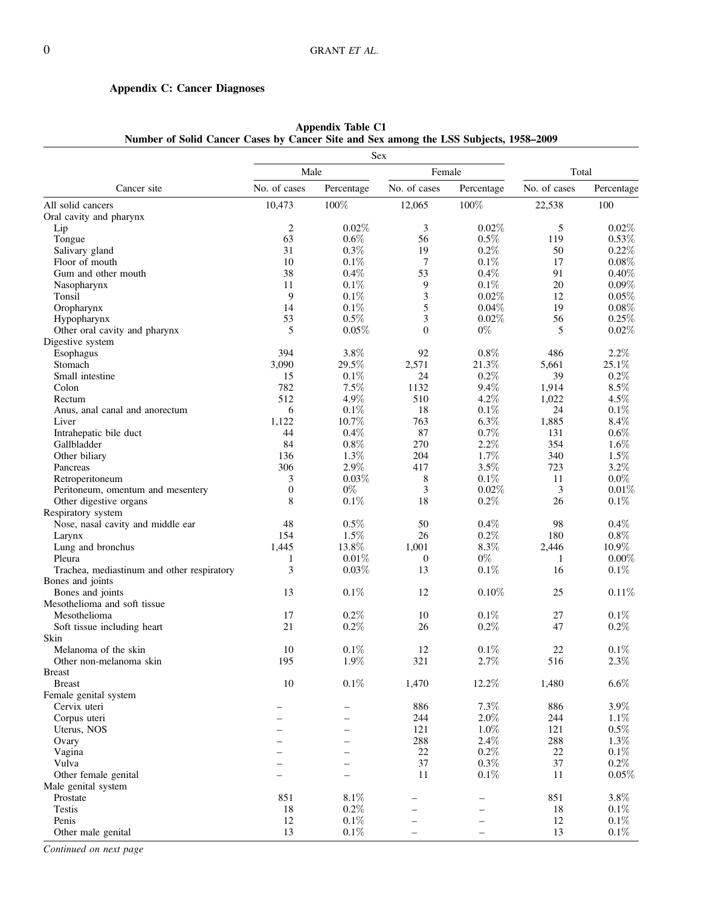# Appendix C: Cancer Diagnoses

|                                            |                  | Sex        |                             |                          |              |                    |  |
|--------------------------------------------|------------------|------------|-----------------------------|--------------------------|--------------|--------------------|--|
|                                            | Male             |            | Female                      |                          | Total        |                    |  |
| Cancer site                                | No. of cases     | Percentage | No. of cases                | Percentage               | No. of cases | Percentage         |  |
| All solid cancers                          | 10,473           | 100%       | 12,065                      | 100%                     | 22,538       | 100                |  |
| Oral cavity and pharynx                    |                  |            |                             |                          |              |                    |  |
| Lip                                        | $\overline{c}$   | $0.02\%$   | 3                           | $0.02\%$                 | 5            | $0.02\%$           |  |
| Tongue                                     | 63               | $0.6\%$    | 56                          | $0.5\%$                  | 119          | 0.53%              |  |
| Salivary gland                             | 31               | $0.3\%$    | 19                          | $0.2\%$                  | 50           | $0.22\%$           |  |
| Floor of mouth                             | 10               | $0.1\%$    | 7                           | $0.1\%$                  | 17           | $0.08\%$           |  |
| Gum and other mouth                        | 38               | 0.4%       | 53                          | 0.4%                     | 91           | $0.40\%$           |  |
| Nasopharynx                                | 11               | $0.1\%$    | 9                           | $0.1\%$                  | 20           | $0.09\%$           |  |
| Tonsil                                     | 9                | $0.1\%$    | $\ensuremath{\mathfrak{Z}}$ | 0.02%                    | 12           | 0.05%              |  |
| Oropharynx                                 | 14               | $0.1\%$    | 5                           | 0.04%                    | 19           | $0.08\%$           |  |
| Hypopharynx                                | 53               | $0.5\%$    | 3                           | 0.02%                    | 56           | 0.25%              |  |
| Other oral cavity and pharynx              | 5                | $0.05\%$   | $\mathbf{0}$                | $0\%$                    | 5            | $0.02\%$           |  |
| Digestive system                           |                  |            |                             |                          |              |                    |  |
| Esophagus                                  | 394              | 3.8%       | 92                          | $0.8\%$                  | 486          | 2.2%               |  |
| Stomach                                    | 3,090            | 29.5%      | 2,571                       | 21.3%                    | 5,661        | 25.1%              |  |
| Small intestine                            | 15               | $0.1\%$    | 24                          | 0.2%                     | 39           | $0.2\%$            |  |
| Colon                                      | 782              | 7.5%       | 1132                        | 9.4%                     | 1,914        | 8.5%               |  |
| Rectum                                     | 512              | 4.9%       | 510                         | 4.2%                     | 1,022        | 4.5%               |  |
| Anus, anal canal and anorectum             | 6                | $0.1\%$    | 18                          | $0.1\%$                  | 24           | 0.1%               |  |
| Liver                                      | 1,122            | 10.7%      | 763                         | 6.3%                     | 1,885        | 8.4%               |  |
| Intrahepatic bile duct                     | 44               | 0.4%       | 87                          | 0.7%                     | 131          | $0.6\%$            |  |
| Gallbladder                                | 84               | $0.8\%$    | 270                         | 2.2%                     | 354          | $1.6\%$            |  |
| Other biliary                              | 136              | 1.3%       | 204                         | 1.7%                     | 340          | 1.5%               |  |
| Pancreas                                   | 306              | 2.9%       | 417                         | 3.5%                     | 723          | 3.2%               |  |
| Retroperitoneum                            | 3                | $0.03\%$   | 8                           | $0.1\%$                  | 11           | $0.0\%$            |  |
| Peritoneum, omentum and mesentery          | $\boldsymbol{0}$ | $0\%$      | 3                           | 0.02%                    | 3            | 0.01%              |  |
| Other digestive organs                     | 8                | $0.1\%$    | 18                          | 0.2%                     | 26           | $0.1\%$            |  |
| Respiratory system                         |                  |            |                             |                          |              |                    |  |
| Nose, nasal cavity and middle ear          | 48               | $0.5\%$    | 50                          | 0.4%                     | 98           | 0.4%               |  |
| Larynx                                     | 154              | 1.5%       | 26                          | 0.2%                     | 180          | $0.8\%$            |  |
| Lung and bronchus                          | 1,445            | 13.8%      | 1,001                       | 8.3%                     | 2,446        | 10.9%              |  |
| Pleura                                     | 1                | 0.01%      | $\boldsymbol{0}$            | $0\%$                    | 1            | $0.00\%$           |  |
| Trachea, mediastinum and other respiratory | 3                | 0.03%      | 13                          | $0.1\%$                  | 16           | $0.1\%$            |  |
| Bones and joints                           |                  |            |                             |                          |              |                    |  |
| Bones and joints                           | 13               | $0.1\%$    | 12                          | $0.10\%$                 | 25           | 0.11%              |  |
| Mesothelioma and soft tissue               |                  |            |                             |                          |              |                    |  |
| Mesothelioma                               | 17               | $0.2\%$    | 10                          | 0.1%                     | 27           | $0.1\%$            |  |
| Soft tissue including heart                | 21               | $0.2\%$    | 26                          | $0.2\%$                  | 47           | 0.2%               |  |
| Skin                                       |                  |            |                             |                          |              |                    |  |
| Melanoma of the skin                       | 10               | $0.1\%$    | 12                          | $0.1\%$                  | 22           | $0.1\%$            |  |
| Other non-melanoma skin                    | 195              | $1.9\%$    | 321                         | $2.7\%$                  | 516          | $2.3\%$            |  |
| <b>Breast</b>                              |                  |            |                             |                          |              |                    |  |
| <b>Breast</b>                              | $10\,$           | $0.1\%$    | 1,470                       | 12.2%                    | 1,480        | $6.6\%$            |  |
| Female genital system                      |                  |            |                             |                          |              |                    |  |
| Cervix uteri                               |                  | -          | 886                         | 7.3%                     | 886          | 3.9%               |  |
| Corpus uteri                               |                  |            | 244                         | 2.0%                     | 244          | $1.1\%$            |  |
| Uterus, NOS                                |                  |            | 121                         | 1.0%                     | 121          | $0.5\%$            |  |
| Ovary                                      |                  |            | 288                         | 2.4%                     | 288          | 1.3%               |  |
|                                            |                  |            | 22                          | $0.2\%$                  | 22           | $0.1\%$            |  |
| Vagina<br>Vulva                            |                  |            | 37                          | $0.3\%$                  | 37           | $0.2\%$            |  |
|                                            |                  |            |                             |                          |              | $0.05\%$           |  |
| Other female genital                       |                  |            | 11                          | $0.1\%$                  | 11           |                    |  |
| Male genital system                        |                  |            |                             |                          |              |                    |  |
| Prostate                                   | 851              | 8.1%       |                             |                          | 851          | 3.8%               |  |
| Testis                                     | 18               | $0.2\%$    | $\qquad \qquad -$           | $\overline{\phantom{0}}$ | 18           | $0.1\%$            |  |
| Penis                                      | 12<br>13         | $0.1\%$    |                             |                          | 12           | $0.1\%$<br>$0.1\%$ |  |
| Other male genital                         |                  | $0.1\%$    |                             |                          | 13           |                    |  |

Appendix Table C1 Number of Solid Cancer Cases by Cancer Site and Sex among the LSS Subjects, 1958–2009

Continued on next page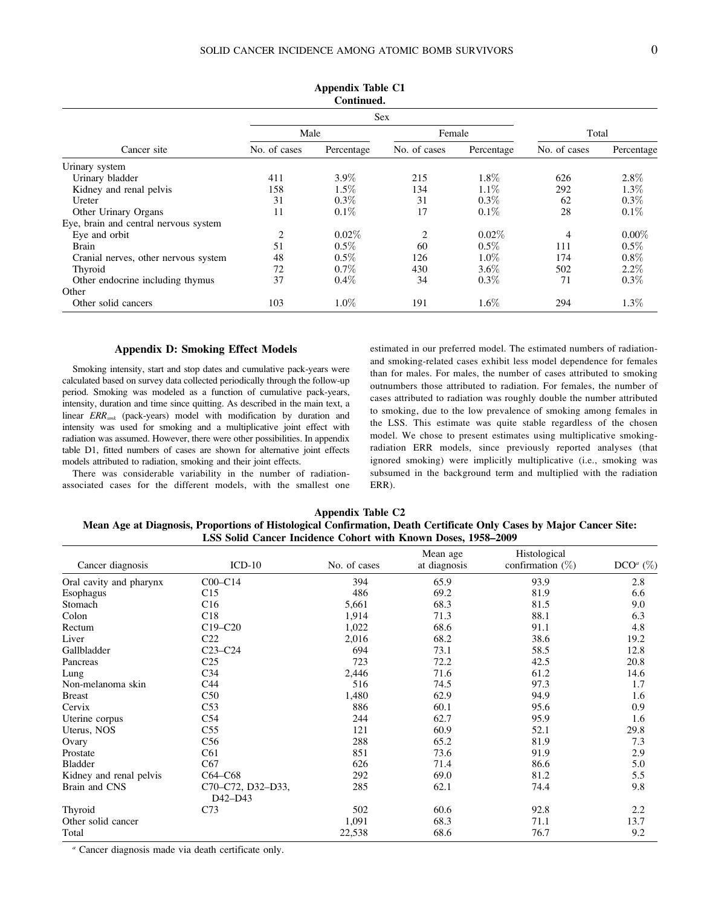|                                       |              | $\mu$<br>Continued. |                |            |              |            |  |
|---------------------------------------|--------------|---------------------|----------------|------------|--------------|------------|--|
|                                       |              | Sex                 |                |            |              |            |  |
|                                       | Male         |                     | Female         |            | Total        |            |  |
| Cancer site                           | No. of cases | Percentage          | No. of cases   | Percentage | No. of cases | Percentage |  |
| Urinary system                        |              |                     |                |            |              |            |  |
| Urinary bladder                       | 411          | $3.9\%$             | 215            | 1.8%       | 626          | 2.8%       |  |
| Kidney and renal pelvis               | 158          | $1.5\%$             | 134            | $1.1\%$    | 292          | 1.3%       |  |
| Ureter                                | 31           | $0.3\%$             | 31             | $0.3\%$    | 62           | $0.3\%$    |  |
| Other Urinary Organs                  | 11           | $0.1\%$             | 17             | $0.1\%$    | 28           | $0.1\%$    |  |
| Eye, brain and central nervous system |              |                     |                |            |              |            |  |
| Eye and orbit                         | 2            | $0.02\%$            | $\overline{2}$ | $0.02\%$   | 4            | $0.00\%$   |  |
| Brain                                 | 51           | $0.5\%$             | 60             | $0.5\%$    | 111          | $0.5\%$    |  |
| Cranial nerves, other nervous system  | 48           | $0.5\%$             | 126            | $1.0\%$    | 174          | $0.8\%$    |  |
| Thyroid                               | 72           | $0.7\%$             | 430            | $3.6\%$    | 502          | $2.2\%$    |  |
| Other endocrine including thymus      | 37           | $0.4\%$             | 34             | $0.3\%$    | 71           | $0.3\%$    |  |
| Other                                 |              |                     |                |            |              |            |  |
| Other solid cancers                   | 103          | 1.0%                | 191            | $1.6\%$    | 294          | 1.3%       |  |

| <b>Appendix Table C1</b> |  |
|--------------------------|--|
| Continued                |  |

#### Appendix D: Smoking Effect Models

Smoking intensity, start and stop dates and cumulative pack-years were calculated based on survey data collected periodically through the follow-up period. Smoking was modeled as a function of cumulative pack-years, intensity, duration and time since quitting. As described in the main text, a linear ERR<sub>smk</sub> (pack-years) model with modification by duration and intensity was used for smoking and a multiplicative joint effect with radiation was assumed. However, there were other possibilities. In appendix table D1, fitted numbers of cases are shown for alternative joint effects models attributed to radiation, smoking and their joint effects.

There was considerable variability in the number of radiationassociated cases for the different models, with the smallest one estimated in our preferred model. The estimated numbers of radiationand smoking-related cases exhibit less model dependence for females than for males. For males, the number of cases attributed to smoking outnumbers those attributed to radiation. For females, the number of cases attributed to radiation was roughly double the number attributed to smoking, due to the low prevalence of smoking among females in the LSS. This estimate was quite stable regardless of the chosen model. We chose to present estimates using multiplicative smokingradiation ERR models, since previously reported analyses (that ignored smoking) were implicitly multiplicative (i.e., smoking was subsumed in the background term and multiplied with the radiation ERR).

Appendix Table C2 Mean Age at Diagnosis, Proportions of Histological Confirmation, Death Certificate Only Cases by Major Cancer Site: LSS Solid Cancer Incidence Cohort with Known Doses, 1958–2009

| Cancer diagnosis        | $ICD-10$                     | No. of cases | Mean age<br>at diagnosis | Histological<br>confirmation $(\%)$ | $DCO^a$ (%) |
|-------------------------|------------------------------|--------------|--------------------------|-------------------------------------|-------------|
| Oral cavity and pharynx | $COO-C14$                    | 394          | 65.9                     | 93.9                                | 2.8         |
| Esophagus               | C15                          | 486          | 69.2                     | 81.9                                | 6.6         |
| Stomach                 | C16                          | 5,661        | 68.3                     | 81.5                                | 9.0         |
| Colon                   | C18                          | 1,914        | 71.3                     | 88.1                                | 6.3         |
| Rectum                  | $C19-C20$                    | 1,022        | 68.6                     | 91.1                                | 4.8         |
| Liver                   | C <sub>22</sub>              | 2,016        | 68.2                     | 38.6                                | 19.2        |
| Gallbladder             | $C23-C24$                    | 694          | 73.1                     | 58.5                                | 12.8        |
| Pancreas                | C <sub>25</sub>              | 723          | 72.2                     | 42.5                                | 20.8        |
| Lung                    | C <sub>34</sub>              | 2,446        | 71.6                     | 61.2                                | 14.6        |
| Non-melanoma skin       | C <sub>44</sub>              | 516          | 74.5                     | 97.3                                | 1.7         |
| <b>Breast</b>           | C50                          | 1,480        | 62.9                     | 94.9                                | 1.6         |
| Cervix                  | C <sub>53</sub>              | 886          | 60.1                     | 95.6                                | 0.9         |
| Uterine corpus          | C <sub>54</sub>              | 244          | 62.7                     | 95.9                                | 1.6         |
| Uterus, NOS             | C <sub>55</sub>              | 121          | 60.9                     | 52.1                                | 29.8        |
| Ovary                   | C56                          | 288          | 65.2                     | 81.9                                | 7.3         |
| Prostate                | C61                          | 851          | 73.6                     | 91.9                                | 2.9         |
| <b>Bladder</b>          | C67                          | 626          | 71.4                     | 86.6                                | 5.0         |
| Kidney and renal pelvis | $C64-C68$                    | 292          | 69.0                     | 81.2                                | 5.5         |
| Brain and CNS           | C70–C72, D32–D33,<br>D42-D43 | 285          | 62.1                     | 74.4                                | 9.8         |
| Thyroid                 | C <sub>73</sub>              | 502          | 60.6                     | 92.8                                | 2.2         |
| Other solid cancer      |                              | 1,091        | 68.3                     | 71.1                                | 13.7        |
| Total                   |                              | 22,538       | 68.6                     | 76.7                                | 9.2         |

<sup>a</sup> Cancer diagnosis made via death certificate only.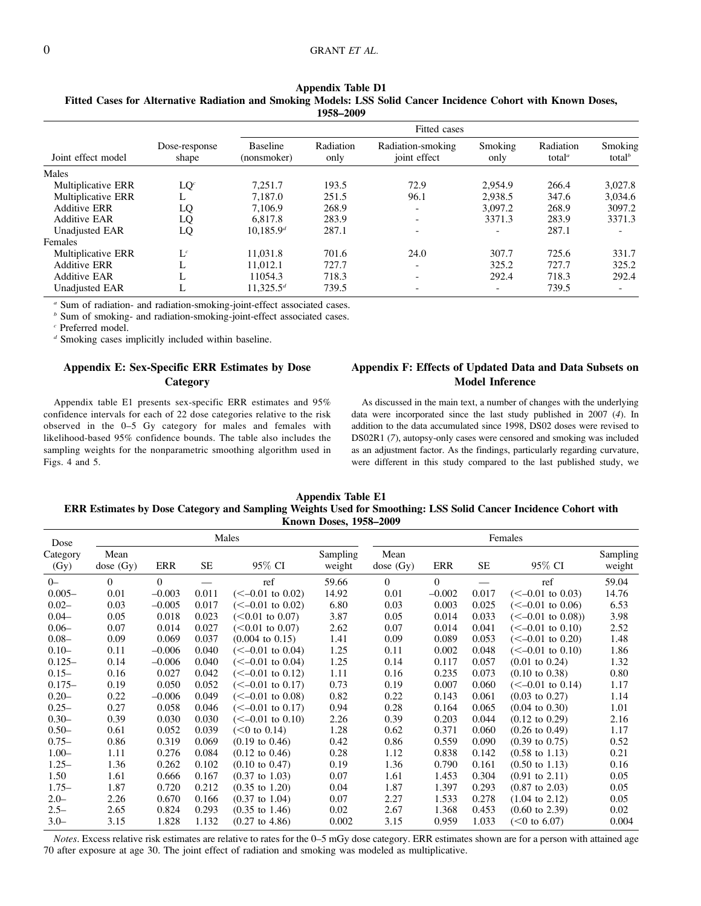|                           |                        |                                |                   | Fitted cases                      |                        |                                              |                          |
|---------------------------|------------------------|--------------------------------|-------------------|-----------------------------------|------------------------|----------------------------------------------|--------------------------|
| Joint effect model        | Dose-response<br>shape | <b>Baseline</b><br>(nonsmoker) | Radiation<br>only | Radiation-smoking<br>joint effect | <b>Smoking</b><br>only | Radiation<br>total <sup><math>a</math></sup> | Smoking<br>total $^b$    |
| Males                     |                        |                                |                   |                                   |                        |                                              |                          |
| <b>Multiplicative ERR</b> | $LQ^c$                 | 7.251.7                        | 193.5             | 72.9                              | 2.954.9                | 266.4                                        | 3,027.8                  |
| <b>Multiplicative ERR</b> |                        | 7.187.0                        | 251.5             | 96.1                              | 2,938.5                | 347.6                                        | 3,034.6                  |
| <b>Additive ERR</b>       | LQ                     | 7.106.9                        | 268.9             | $\overline{\phantom{0}}$          | 3.097.2                | 268.9                                        | 3097.2                   |
| <b>Additive EAR</b>       | LQ                     | 6.817.8                        | 283.9             | $\overline{\phantom{0}}$          | 3371.3                 | 283.9                                        | 3371.3                   |
| Unadjusted EAR            | LQ                     | 10,185.9 <sup>d</sup>          | 287.1             |                                   |                        | 287.1                                        |                          |
| Females                   |                        |                                |                   |                                   |                        |                                              |                          |
| <b>Multiplicative ERR</b> | $\mathrm{L}^c$         | 11.031.8                       | 701.6             | 24.0                              | 307.7                  | 725.6                                        | 331.7                    |
| <b>Additive ERR</b>       |                        | 11.012.1                       | 727.7             |                                   | 325.2                  | 727.7                                        | 325.2                    |
| <b>Additive EAR</b>       |                        | 11054.3                        | 718.3             | -                                 | 292.4                  | 718.3                                        | 292.4                    |
| Unadjusted EAR            | L                      | $11,325.5^d$                   | 739.5             |                                   |                        | 739.5                                        | $\overline{\phantom{a}}$ |
|                           |                        |                                |                   |                                   |                        |                                              |                          |

Appendix Table D1 Fitted Cases for Alternative Radiation and Smoking Models: LSS Solid Cancer Incidence Cohort with Known Doses, 1958–2009

<sup>a</sup> Sum of radiation- and radiation-smoking-joint-effect associated cases.

 $b$  Sum of smoking- and radiation-smoking-joint-effect associated cases.

<sup>c</sup> Preferred model.

<sup>d</sup> Smoking cases implicitly included within baseline.

# Appendix E: Sex-Specific ERR Estimates by Dose **Category**

Appendix table E1 presents sex-specific ERR estimates and 95% confidence intervals for each of 22 dose categories relative to the risk observed in the 0–5 Gy category for males and females with likelihood-based 95% confidence bounds. The table also includes the sampling weights for the nonparametric smoothing algorithm used in Figs. 4 and 5.

# Appendix F: Effects of Updated Data and Data Subsets on Model Inference

As discussed in the main text, a number of changes with the underlying data were incorporated since the last study published in 2007 (4). In addition to the data accumulated since 1998, DS02 doses were revised to DS02R1 (7), autopsy-only cases were censored and smoking was included as an adjustment factor. As the findings, particularly regarding curvature, were different in this study compared to the last published study, we

# Appendix Table E1 ERR Estimates by Dose Category and Sampling Weights Used for Smoothing: LSS Solid Cancer Incidence Cohort with Known Doses, 1958–2009

| Dose             |                  | Males    | Females   |                            |                           |                  |          |           |                           |                    |
|------------------|------------------|----------|-----------|----------------------------|---------------------------|------------------|----------|-----------|---------------------------|--------------------|
| Category<br>(Gy) | Mean<br>dose(Gy) | ERR      | <b>SE</b> | 95\% CI                    | <b>Sampling</b><br>weight | Mean<br>dose(Gy) | ERR      | <b>SE</b> | 95\% CI                   | Sampling<br>weight |
| $0 -$            | $\Omega$         | $\Omega$ |           | ref                        | 59.66                     | $\Omega$         | $\Omega$ |           | ref                       | 59.04              |
| $0.005 -$        | 0.01             | $-0.003$ | 0.011     | $(< -0.01$ to 0.02)        | 14.92                     | 0.01             | $-0.002$ | 0.017     | $(< -0.01$ to 0.03)       | 14.76              |
| $0.02 -$         | 0.03             | $-0.005$ | 0.017     | $(< -0.01$ to 0.02)        | 6.80                      | 0.03             | 0.003    | 0.025     | $(< -0.01$ to 0.06)       | 6.53               |
| $0.04-$          | 0.05             | 0.018    | 0.023     | $(<0.01$ to 0.07)          | 3.87                      | 0.05             | 0.014    | 0.033     | $(< -0.01$ to $0.08$ )    | 3.98               |
| $0.06-$          | 0.07             | 0.014    | 0.027     | $(<0.01$ to 0.07)          | 2.62                      | 0.07             | 0.014    | 0.041     | $(< -0.01$ to 0.10)       | 2.52               |
| $0.08 -$         | 0.09             | 0.069    | 0.037     | $(0.004 \text{ to } 0.15)$ | 1.41                      | 0.09             | 0.089    | 0.053     | $(< -0.01$ to 0.20)       | 1.48               |
| $0.10-$          | 0.11             | $-0.006$ | 0.040     | $(< -0.01$ to 0.04)        | 1.25                      | 0.11             | 0.002    | 0.048     | $(< -0.01$ to 0.10)       | 1.86               |
| $0.125 -$        | 0.14             | $-0.006$ | 0.040     | $(< -0.01$ to 0.04)        | 1.25                      | 0.14             | 0.117    | 0.057     | $(0.01 \text{ to } 0.24)$ | 1.32               |
| $0.15 -$         | 0.16             | 0.027    | 0.042     | $(< -0.01$ to 0.12)        | 1.11                      | 0.16             | 0.235    | 0.073     | $(0.10 \text{ to } 0.38)$ | 0.80               |
| $0.175-$         | 0.19             | 0.050    | 0.052     | $(< -0.01$ to 0.17)        | 0.73                      | 0.19             | 0.007    | 0.060     | $(< -0.01$ to 0.14)       | 1.17               |
| $0.20 -$         | 0.22             | $-0.006$ | 0.049     | $(< -0.01$ to 0.08)        | 0.82                      | 0.22             | 0.143    | 0.061     | $(0.03 \text{ to } 0.27)$ | 1.14               |
| $0.25 -$         | 0.27             | 0.058    | 0.046     | $(< -0.01$ to 0.17)        | 0.94                      | 0.28             | 0.164    | 0.065     | $(0.04 \text{ to } 0.30)$ | 1.01               |
| $0.30-$          | 0.39             | 0.030    | 0.030     | $(< -0.01$ to 0.10)        | 2.26                      | 0.39             | 0.203    | 0.044     | $(0.12 \text{ to } 0.29)$ | 2.16               |
| $0.50-$          | 0.61             | 0.052    | 0.039     | $(< 0$ to 0.14)            | 1.28                      | 0.62             | 0.371    | 0.060     | $(0.26 \text{ to } 0.49)$ | 1.17               |
| $0.75-$          | 0.86             | 0.319    | 0.069     | $(0.19 \text{ to } 0.46)$  | 0.42                      | 0.86             | 0.559    | 0.090     | $(0.39 \text{ to } 0.75)$ | 0.52               |
| $1.00 -$         | 1.11             | 0.276    | 0.084     | $(0.12 \text{ to } 0.46)$  | 0.28                      | 1.12             | 0.838    | 0.142     | $(0.58 \text{ to } 1.13)$ | 0.21               |
| $1.25 -$         | 1.36             | 0.262    | 0.102     | $(0.10 \text{ to } 0.47)$  | 0.19                      | 1.36             | 0.790    | 0.161     | $(0.50 \text{ to } 1.13)$ | 0.16               |
| 1.50             | 1.61             | 0.666    | 0.167     | $(0.37 \text{ to } 1.03)$  | 0.07                      | 1.61             | 1.453    | 0.304     | $(0.91 \text{ to } 2.11)$ | 0.05               |
| $1.75-$          | 1.87             | 0.720    | 0.212     | $(0.35 \text{ to } 1.20)$  | 0.04                      | 1.87             | 1.397    | 0.293     | $(0.87 \text{ to } 2.03)$ | 0.05               |
| $2.0-$           | 2.26             | 0.670    | 0.166     | $(0.37 \text{ to } 1.04)$  | 0.07                      | 2.27             | 1.533    | 0.278     | $(1.04 \text{ to } 2.12)$ | 0.05               |
| $2.5-$           | 2.65             | 0.824    | 0.293     | $(0.35 \text{ to } 1.46)$  | 0.02                      | 2.67             | 1.368    | 0.453     | $(0.60 \text{ to } 2.39)$ | 0.02               |
| $3.0-$           | 3.15             | 1.828    | 1.132     | $(0.27 \text{ to } 4.86)$  | 0.002                     | 3.15             | 0.959    | 1.033     | $(< 0$ to 6.07)           | 0.004              |

Notes. Excess relative risk estimates are relative to rates for the 0–5 mGy dose category. ERR estimates shown are for a person with attained age 70 after exposure at age 30. The joint effect of radiation and smoking was modeled as multiplicative.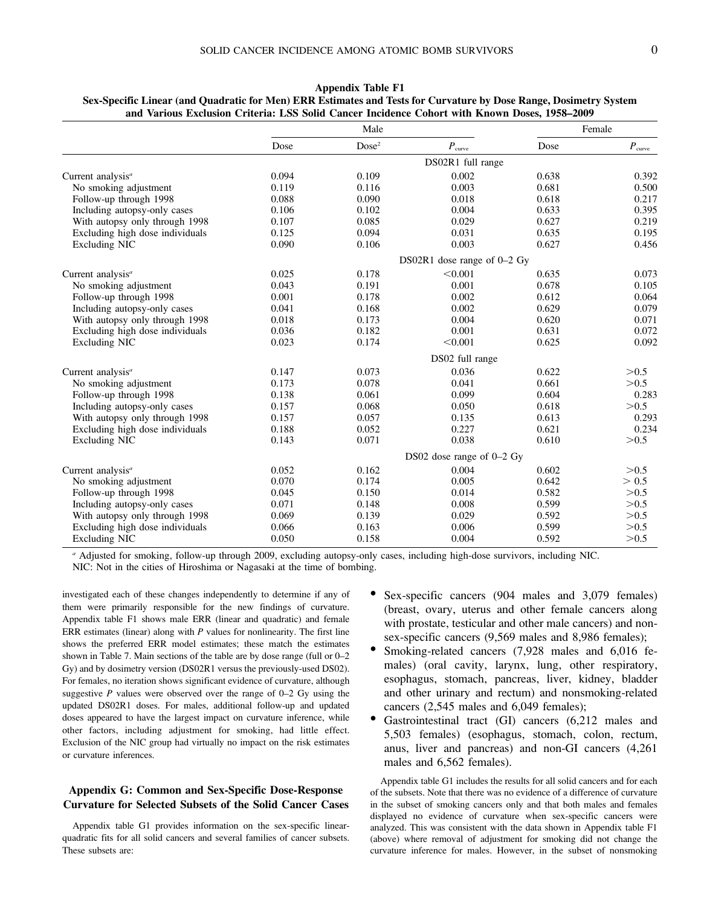|                                            | Male  |                   |                               |       | Female          |
|--------------------------------------------|-------|-------------------|-------------------------------|-------|-----------------|
|                                            | Dose  | Dose <sup>2</sup> | $P_{\text{curve}}$            | Dose  | $P_{\rm curve}$ |
|                                            |       |                   | DS02R1 full range             |       |                 |
| Current analysis $a$                       | 0.094 | 0.109             | 0.002                         | 0.638 | 0.392           |
| No smoking adjustment                      | 0.119 | 0.116             | 0.003                         | 0.681 | 0.500           |
| Follow-up through 1998                     | 0.088 | 0.090             | 0.018                         | 0.618 | 0.217           |
| Including autopsy-only cases               | 0.106 | 0.102             | 0.004                         | 0.633 | 0.395           |
| With autopsy only through 1998             | 0.107 | 0.085             | 0.029                         | 0.627 | 0.219           |
| Excluding high dose individuals            | 0.125 | 0.094             | 0.031                         | 0.635 | 0.195           |
| Excluding NIC                              | 0.090 | 0.106             | 0.003                         | 0.627 | 0.456           |
|                                            |       |                   | DS02R1 dose range of $0-2$ Gy |       |                 |
| Current analysis <sup>a</sup>              | 0.025 | 0.178             | < 0.001                       | 0.635 | 0.073           |
| No smoking adjustment                      | 0.043 | 0.191             | 0.001                         | 0.678 | 0.105           |
| Follow-up through 1998                     | 0.001 | 0.178             | 0.002                         | 0.612 | 0.064           |
| Including autopsy-only cases               | 0.041 | 0.168             | 0.002                         | 0.629 | 0.079           |
| With autopsy only through 1998             | 0.018 | 0.173             | 0.004                         | 0.620 | 0.071           |
| Excluding high dose individuals            | 0.036 | 0.182             | 0.001                         | 0.631 | 0.072           |
| Excluding NIC                              | 0.023 | 0.174             | < 0.001                       | 0.625 | 0.092           |
|                                            |       |                   | DS02 full range               |       |                 |
| Current analysis <sup><math>a</math></sup> | 0.147 | 0.073             | 0.036                         | 0.622 | >0.5            |
| No smoking adjustment                      | 0.173 | 0.078             | 0.041                         | 0.661 | >0.5            |
| Follow-up through 1998                     | 0.138 | 0.061             | 0.099                         | 0.604 | 0.283           |
| Including autopsy-only cases               | 0.157 | 0.068             | 0.050                         | 0.618 | > 0.5           |
| With autopsy only through 1998             | 0.157 | 0.057             | 0.135                         | 0.613 | 0.293           |
| Excluding high dose individuals            | 0.188 | 0.052             | 0.227                         | 0.621 | 0.234           |
| Excluding NIC                              | 0.143 | 0.071             | 0.038                         | 0.610 | > 0.5           |
|                                            |       |                   | DS02 dose range of $0-2$ Gy   |       |                 |
| Current analysis <sup>a</sup>              | 0.052 | 0.162             | 0.004                         | 0.602 | > 0.5           |
| No smoking adjustment                      | 0.070 | 0.174             | 0.005                         | 0.642 | > 0.5           |
| Follow-up through 1998                     | 0.045 | 0.150             | 0.014                         | 0.582 | >0.5            |
| Including autopsy-only cases               | 0.071 | 0.148             | 0.008                         | 0.599 | > 0.5           |
| With autopsy only through 1998             | 0.069 | 0.139             | 0.029                         | 0.592 | > 0.5           |
| Excluding high dose individuals            | 0.066 | 0.163             | 0.006                         | 0.599 | > 0.5           |
| Excluding NIC                              | 0.050 | 0.158             | 0.004                         | 0.592 | > 0.5           |

Appendix Table F1 Sex-Specific Linear (and Quadratic for Men) ERR Estimates and Tests for Curvature by Dose Range, Dosimetry System and Various Exclusion Criteria: LSS Solid Cancer Incidence Cohort with Known Doses, 1958–2009

<sup>a</sup> Adjusted for smoking, follow-up through 2009, excluding autopsy-only cases, including high-dose survivors, including NIC. NIC: Not in the cities of Hiroshima or Nagasaki at the time of bombing.

investigated each of these changes independently to determine if any of them were primarily responsible for the new findings of curvature. Appendix table F1 shows male ERR (linear and quadratic) and female ERR estimates (linear) along with  $P$  values for nonlinearity. The first line shows the preferred ERR model estimates; these match the estimates shown in Table 7. Main sections of the table are by dose range (full or 0–2 Gy) and by dosimetry version (DS02R1 versus the previously-used DS02). For females, no iteration shows significant evidence of curvature, although suggestive  $P$  values were observed over the range of 0–2 Gy using the updated DS02R1 doses. For males, additional follow-up and updated doses appeared to have the largest impact on curvature inference, while other factors, including adjustment for smoking, had little effect. Exclusion of the NIC group had virtually no impact on the risk estimates or curvature inferences.

# Appendix G: Common and Sex-Specific Dose-Response Curvature for Selected Subsets of the Solid Cancer Cases

Appendix table G1 provides information on the sex-specific linearquadratic fits for all solid cancers and several families of cancer subsets. These subsets are:

- Sex-specific cancers (904 males and 3,079 females) (breast, ovary, uterus and other female cancers along with prostate, testicular and other male cancers) and non-
- sex-specific cancers (9,569 males and 8,986 females);<br>Smoking-related cancers (7,928 males and 6,016 females) (oral cavity, larynx, lung, other respiratory, esophagus, stomach, pancreas, liver, kidney, bladder and other urinary and rectum) and nonsmoking-related cancers (2,545 males and 6,049 females); Gastrointestinal tract (GI) cancers (6,212 males and
- 5,503 females) (esophagus, stomach, colon, rectum, anus, liver and pancreas) and non-GI cancers (4,261 males and 6,562 females).

Appendix table G1 includes the results for all solid cancers and for each of the subsets. Note that there was no evidence of a difference of curvature in the subset of smoking cancers only and that both males and females displayed no evidence of curvature when sex-specific cancers were analyzed. This was consistent with the data shown in Appendix table F1 (above) where removal of adjustment for smoking did not change the curvature inference for males. However, in the subset of nonsmoking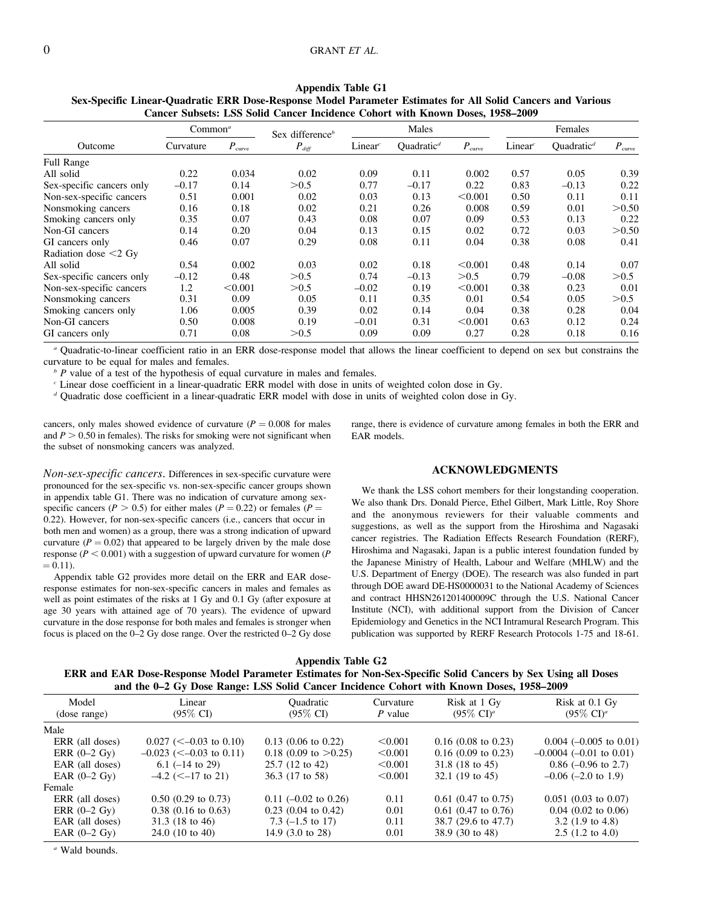|                           | Common <sup>a</sup> |                    | Sex difference <sup><math>b</math></sup> | Males             |                                     |                    | Females    |                        |                    |
|---------------------------|---------------------|--------------------|------------------------------------------|-------------------|-------------------------------------|--------------------|------------|------------------------|--------------------|
| Outcome                   | Curvature           | $P_{\text{curve}}$ | $P_{\textit{diff}}$                      | Linear $\epsilon$ | Ouadratic <sup><math>d</math></sup> | $P_{\text{curve}}$ | Linear $c$ | Quadratic <sup>d</sup> | $P_{\text{curve}}$ |
| <b>Full Range</b>         |                     |                    |                                          |                   |                                     |                    |            |                        |                    |
| All solid                 | 0.22                | 0.034              | 0.02                                     | 0.09              | 0.11                                | 0.002              | 0.57       | 0.05                   | 0.39               |
| Sex-specific cancers only | $-0.17$             | 0.14               | > 0.5                                    | 0.77              | $-0.17$                             | 0.22               | 0.83       | $-0.13$                | 0.22               |
| Non-sex-specific cancers  | 0.51                | 0.001              | 0.02                                     | 0.03              | 0.13                                | < 0.001            | 0.50       | 0.11                   | 0.11               |
| Nonsmoking cancers        | 0.16                | 0.18               | 0.02                                     | 0.21              | 0.26                                | 0.008              | 0.59       | 0.01                   | >0.50              |
| Smoking cancers only      | 0.35                | 0.07               | 0.43                                     | 0.08              | 0.07                                | 0.09               | 0.53       | 0.13                   | 0.22               |
| Non-GI cancers            | 0.14                | 0.20               | 0.04                                     | 0.13              | 0.15                                | 0.02               | 0.72       | 0.03                   | > 0.50             |
| GI cancers only           | 0.46                | 0.07               | 0.29                                     | 0.08              | 0.11                                | 0.04               | 0.38       | 0.08                   | 0.41               |
| Radiation dose $<$ 2 Gy   |                     |                    |                                          |                   |                                     |                    |            |                        |                    |
| All solid                 | 0.54                | 0.002              | 0.03                                     | 0.02              | 0.18                                | < 0.001            | 0.48       | 0.14                   | 0.07               |
| Sex-specific cancers only | $-0.12$             | 0.48               | > 0.5                                    | 0.74              | $-0.13$                             | >0.5               | 0.79       | $-0.08$                | > 0.5              |
| Non-sex-specific cancers  | 1.2                 | < 0.001            | > 0.5                                    | $-0.02$           | 0.19                                | < 0.001            | 0.38       | 0.23                   | 0.01               |
| Nonsmoking cancers        | 0.31                | 0.09               | 0.05                                     | 0.11              | 0.35                                | 0.01               | 0.54       | 0.05                   | > 0.5              |
| Smoking cancers only      | 1.06                | 0.005              | 0.39                                     | 0.02              | 0.14                                | 0.04               | 0.38       | 0.28                   | 0.04               |
| Non-GI cancers            | 0.50                | 0.008              | 0.19                                     | $-0.01$           | 0.31                                | < 0.001            | 0.63       | 0.12                   | 0.24               |
| GI cancers only           | 0.71                | 0.08               | > 0.5                                    | 0.09              | 0.09                                | 0.27               | 0.28       | 0.18                   | 0.16               |

Appendix Table G1 Sex-Specific Linear-Quadratic ERR Dose-Response Model Parameter Estimates for All Solid Cancers and Various Cancer Subsets: LSS Solid Cancer Incidence Cohort with Known Doses, 1958–2009

<sup>a</sup> Quadratic-to-linear coefficient ratio in an ERR dose-response model that allows the linear coefficient to depend on sex but constrains the curvature to be equal for males and females.

 $\Delta^b$  P value of a test of the hypothesis of equal curvature in males and females.

<sup>c</sup> Linear dose coefficient in a linear-quadratic ERR model with dose in units of weighted colon dose in Gy.

<sup>d</sup> Quadratic dose coefficient in a linear-quadratic ERR model with dose in units of weighted colon dose in Gy.

cancers, only males showed evidence of curvature ( $P = 0.008$  for males and  $P > 0.50$  in females). The risks for smoking were not significant when the subset of nonsmoking cancers was analyzed.

range, there is evidence of curvature among females in both the ERR and EAR models.

Non-sex-specific cancers. Differences in sex-specific curvature were pronounced for the sex-specific vs. non-sex-specific cancer groups shown in appendix table G1. There was no indication of curvature among sexspecific cancers ( $P > 0.5$ ) for either males ( $P = 0.22$ ) or females ( $P =$ 0.22). However, for non-sex-specific cancers (i.e., cancers that occur in both men and women) as a group, there was a strong indication of upward curvature ( $P = 0.02$ ) that appeared to be largely driven by the male dose response ( $P < 0.001$ ) with a suggestion of upward curvature for women ( $P$  $= 0.11$ .

Appendix table G2 provides more detail on the ERR and EAR doseresponse estimates for non-sex-specific cancers in males and females as well as point estimates of the risks at 1 Gy and 0.1 Gy (after exposure at age 30 years with attained age of 70 years). The evidence of upward curvature in the dose response for both males and females is stronger when focus is placed on the 0–2 Gy dose range. Over the restricted 0–2 Gy dose ACKNOWLEDGMENTS

We thank the LSS cohort members for their longstanding cooperation. We also thank Drs. Donald Pierce, Ethel Gilbert, Mark Little, Roy Shore and the anonymous reviewers for their valuable comments and suggestions, as well as the support from the Hiroshima and Nagasaki cancer registries. The Radiation Effects Research Foundation (RERF), Hiroshima and Nagasaki, Japan is a public interest foundation funded by the Japanese Ministry of Health, Labour and Welfare (MHLW) and the U.S. Department of Energy (DOE). The research was also funded in part through DOE award DE-HS0000031 to the National Academy of Sciences and contract HHSN261201400009C through the U.S. National Cancer Institute (NCI), with additional support from the Division of Cancer Epidemiology and Genetics in the NCI Intramural Research Program. This publication was supported by RERF Research Protocols 1-75 and 18-61.

Appendix Table G2 ERR and EAR Dose-Response Model Parameter Estimates for Non-Sex-Specific Solid Cancers by Sex Using all Doses and the 0–2 Gy Dose Range: LSS Solid Cancer Incidence Cohort with Known Doses, 1958–2009

|                        | $\bullet$<br>$\circ$          |                                         |                      |                                       |                                         |
|------------------------|-------------------------------|-----------------------------------------|----------------------|---------------------------------------|-----------------------------------------|
| Model<br>(dose range)  | Linear<br>$(95\% \text{ CI})$ | <b>Ouadratic</b><br>$(95\% \text{ CI})$ | Curvature<br>P value | Risk at 1 Gy<br>$(95\% \text{ CI})^a$ | Risk at 0.1 Gy<br>$(95\% \text{ CI})^a$ |
| Male                   |                               |                                         |                      |                                       |                                         |
| ERR (all doses)        | $0.027$ (<-0.03 to 0.10)      | $0.13$ (0.06 to 0.22)                   | < 0.001              | $0.16$ (0.08 to 0.23)                 | $0.004$ (-0.005 to 0.01)                |
| ERR $(0-2 \text{ Gy})$ | $-0.023$ (< $-0.03$ to 0.11)  | 0.18 (0.09 to $>0.25$ )                 | < 0.001              | $0.16$ (0.09 to 0.23)                 | $-0.0004$ ( $-0.01$ to 0.01)            |
| EAR (all doses)        | 6.1 $(-14 \text{ to } 29)$    | $25.7(12 \text{ to } 42)$               | < 0.001              | $31.8(18 \text{ to } 45)$             | $0.86$ (-0.96 to 2.7)                   |
| EAR $(0-2 \text{ Gy})$ | $-4.2$ (< $-17$ to 21)        | 36.3 (17 to 58)                         | < 0.001              | $32.1(19 \text{ to } 45)$             | $-0.06$ (-2.0 to 1.9)                   |
| Female                 |                               |                                         |                      |                                       |                                         |
| ERR (all doses)        | $0.50$ $(0.29$ to $0.73)$     | $0.11$ (-0.02 to 0.26)                  | 0.11                 | $0.61$ (0.47 to 0.75)                 | $0.051$ (0.03 to 0.07)                  |
| ERR $(0-2 \text{ Gy})$ | $0.38$ (0.16 to 0.63)         | $0.23$ (0.04 to 0.42)                   | 0.01                 | $0.61$ (0.47 to 0.76)                 | $0.04$ (0.02 to 0.06)                   |
| EAR (all doses)        | $31.3(18 \text{ to } 46)$     | 7.3 $(-1.5 \text{ to } 17)$             | 0.11                 | 38.7 (29.6 to 47.7)                   | $3.2$ (1.9 to 4.8)                      |
| EAR $(0-2 \text{ Gy})$ | $24.0(10 \text{ to } 40)$     | 14.9 $(3.0 \text{ to } 28)$             | 0.01                 | $38.9(30 \text{ to } 48)$             | $2.5$ (1.2 to 4.0)                      |
|                        |                               |                                         |                      |                                       |                                         |

<sup>a</sup> Wald bounds.